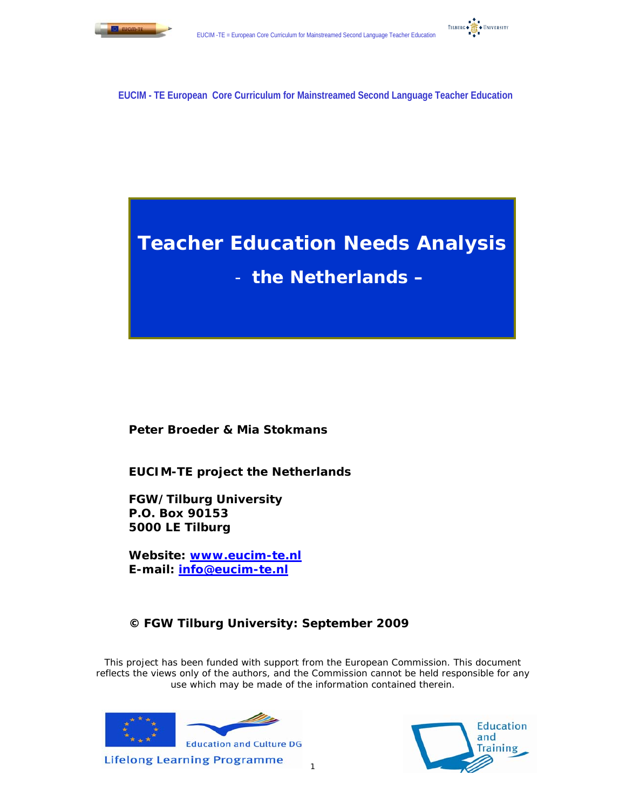



**EUCIM - TE European Core Curriculum for Mainstreamed Second Language Teacher Education** 

# **Teacher Education Needs Analysis**

- **the Netherlands –** 

**Peter Broeder & Mia Stokmans** 

**EUCIM-TE project the Netherlands** 

**FGW/Tilburg University P.O. Box 90153 5000 LE Tilburg** 

**Website: www.eucim-te.nl E-mail: info@eucim-te.nl**

# **© FGW Tilburg University: September 2009**

This project has been funded with support from the European Commission. This document reflects the views only of the authors, and the Commission cannot be held responsible for any use which may be made of the information contained therein.





1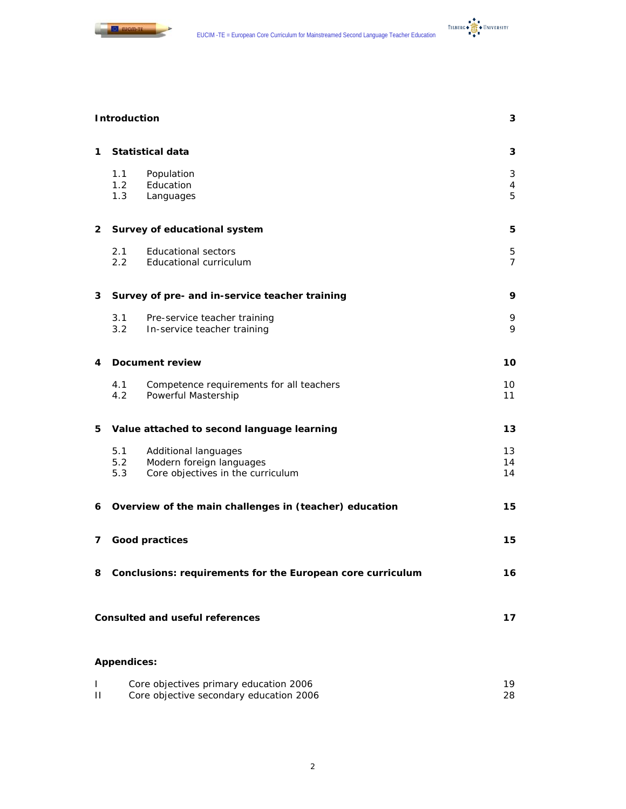

TILBURG + **THE + UNIVERSITY** 

|   | <b>Introduction</b> |                                                                                       | 3                   |
|---|---------------------|---------------------------------------------------------------------------------------|---------------------|
| 1 |                     | <b>Statistical data</b>                                                               | 3                   |
|   | 1.1<br>1.2<br>1.3   | Population<br>Education<br>Languages                                                  | 3<br>4<br>5         |
| 2 |                     | Survey of educational system                                                          | 5                   |
|   | 2.1<br>2.2          | <b>Educational sectors</b><br>Educational curriculum                                  | 5<br>$\overline{7}$ |
| 3 |                     | Survey of pre- and in-service teacher training                                        | 9                   |
|   | 3.1<br>3.2          | Pre-service teacher training<br>In-service teacher training                           | 9<br>9              |
| 4 |                     | <b>Document review</b>                                                                | 10                  |
|   | 4.1<br>4.2          | Competence requirements for all teachers<br>Powerful Mastership                       | 10<br>11            |
| 5 |                     | Value attached to second language learning                                            | 13                  |
|   | 5.1<br>5.2<br>5.3   | Additional languages<br>Modern foreign languages<br>Core objectives in the curriculum | 13<br>14<br>14      |
| 6 |                     | Overview of the main challenges in (teacher) education                                | 15                  |
| 7 |                     | <b>Good practices</b>                                                                 | 15                  |
|   |                     | 8 Conclusions: requirements for the European core curriculum                          | 16                  |
|   |                     | <b>Consulted and useful references</b>                                                | 17                  |
|   | <b>Appendices:</b>  |                                                                                       |                     |
| L |                     | Core objectives primary education 2006                                                | 19                  |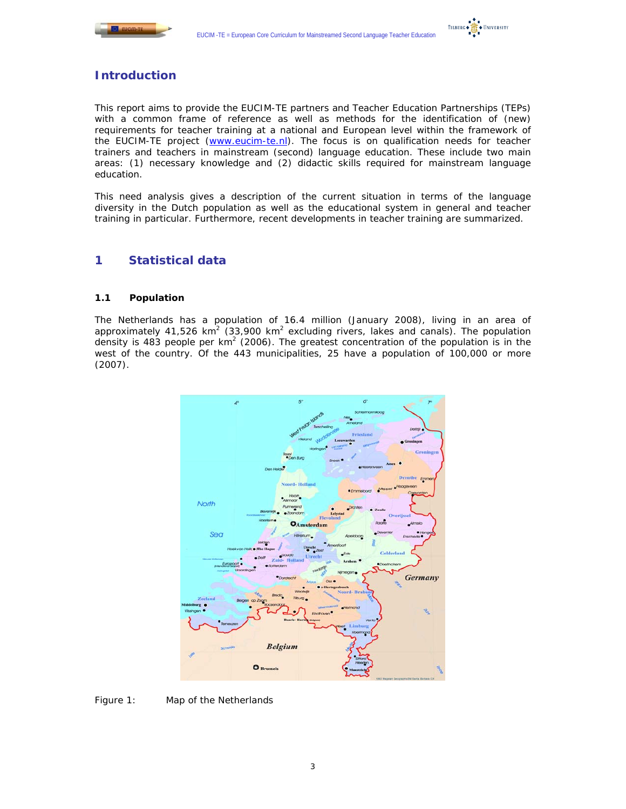



# **Introduction**

This report aims to provide the EUCIM-TE partners and Teacher Education Partnerships (TEPs) with a common frame of reference as well as methods for the identification of (new) requirements for teacher training at a national and European level within the framework of the EUCIM-TE project (www.eucim-te.nl). The focus is on qualification needs for teacher trainers and teachers in mainstream (second) language education. These include two main areas: (1) necessary knowledge and (2) didactic skills required for mainstream language education.

This need analysis gives a description of the current situation in terms of the language diversity in the Dutch population as well as the educational system in general and teacher training in particular. Furthermore, recent developments in teacher training are summarized.

# **1 Statistical data**

# **1.1 Population**

The Netherlands has a population of 16.4 million (January 2008), living in an area of approximately 41,526 km<sup>2</sup> (33,900 km<sup>2</sup> excluding rivers, lakes and canals). The population density is 483 people per  $km^2$  (2006). The greatest concentration of the population is in the west of the country. Of the 443 municipalities, 25 have a population of 100,000 or more (2007).



*Figure 1: Map of the Netherlands*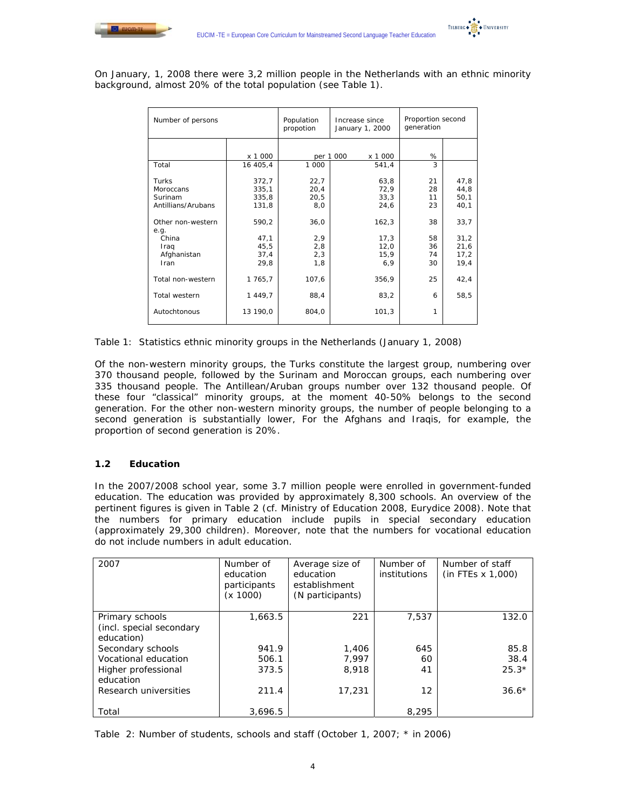



On January, 1, 2008 there were 3,2 million people in the Netherlands with an ethnic minority background, almost 20% of the total population (see Table 1).

| Number of persons         |          | Population<br>propotion | Increase since<br>January 1, 2000 | Proportion second<br>generation |       |
|---------------------------|----------|-------------------------|-----------------------------------|---------------------------------|-------|
|                           |          |                         |                                   |                                 |       |
|                           | x 1 000  |                         | per 1 000<br>x 1 000              | %                               |       |
| Total                     | 16 405,4 | 1 000                   | 541,4                             | 3                               |       |
| Turks                     | 372,7    | 22,7                    | 63,8                              | 21                              | 47,8  |
| Moroccans                 | 335,1    | 20,4                    | 72,9                              | 28                              | 44,8  |
| Surinam                   | 335,8    | 20,5                    | 33,3                              | 11                              | 50,1  |
| Antillians/Arubans        | 131,8    | 8,0                     | 24,6                              | 23                              | 40,1  |
| Other non-western<br>e.g. | 590,2    | 36,0                    | 162,3                             | 38                              | 33,7  |
| China                     | 47,1     | 2,9                     | 17.3                              | 58                              | 31,2  |
| Iraq                      | 45,5     | 2,8                     | 12,0                              | 36                              | 21,6  |
| Afghanistan               | 37,4     | 2,3                     | 15,9                              | 74                              | 17,2  |
| Iran                      | 29,8     | 1,8                     | 6,9                               | 30                              | 19,4  |
| Total non-western         | 1 765,7  | 107,6                   | 356,9                             | 25                              | 42, 4 |
| Total western             | 1 449,7  | 88,4                    | 83,2                              | 6                               | 58,5  |
| Autochtonous              | 13 190,0 | 804,0                   | 101,3                             | 1                               |       |

*Table 1: Statistics ethnic minority groups in the Netherlands (January 1, 2008*)

Of the non-western minority groups, the Turks constitute the largest group, numbering over 370 thousand people, followed by the Surinam and Moroccan groups, each numbering over 335 thousand people. The Antillean/Aruban groups number over 132 thousand people. Of these four "classical" minority groups, at the moment 40-50% belongs to the second generation. For the other non-western minority groups, the number of people belonging to a second generation is substantially lower, For the Afghans and Iraqis, for example, the proportion of second generation is 20%.

# **1.2 Education**

In the 2007/2008 school year, some 3.7 million people were enrolled in government-funded education. The education was provided by approximately 8,300 schools. An overview of the pertinent figures is given in Table 2 (cf. Ministry of Education 2008, Eurydice 2008). Note that the numbers for primary education include pupils in special secondary education (approximately 29,300 children). Moreover, note that the numbers for vocational education do not include numbers in adult education.

| 2007                                                      | Number of<br>education<br>participants<br>(x 1000) | Average size of<br>education<br>establishment<br>(N participants) | Number of<br>institutions | Number of staff<br>$(in$ FTEs $x$ 1,000) |
|-----------------------------------------------------------|----------------------------------------------------|-------------------------------------------------------------------|---------------------------|------------------------------------------|
| Primary schools<br>(incl. special secondary<br>education) | 1,663.5                                            | 221                                                               | 7,537                     | 132.0                                    |
| Secondary schools                                         | 941.9                                              | 1,406                                                             | 645                       | 85.8                                     |
| Vocational education                                      | 506.1                                              | 7.997                                                             | 60                        | 38.4                                     |
| Higher professional<br>education                          | 373.5                                              | 8,918                                                             | 41                        | $25.3*$                                  |
| Research universities                                     | 211.4                                              | 17,231                                                            | $12 \overline{ }$         | $36.6*$                                  |
| Total                                                     | 3.696.5                                            |                                                                   | 8,295                     |                                          |

*Table 2: Number of students, schools and staff (October 1, 2007;* \* in 2006*)*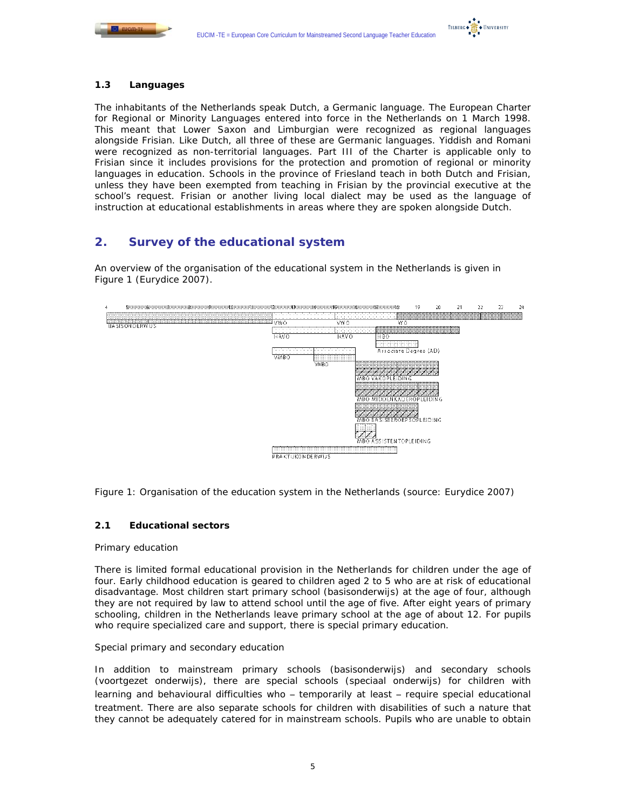



# **1.3 Languages**

The inhabitants of the Netherlands speak Dutch, a Germanic language. The European Charter for Regional or Minority Languages entered into force in the Netherlands on 1 March 1998. This meant that Lower Saxon and Limburgian were recognized as regional languages alongside Frisian. Like Dutch, all three of these are Germanic languages. Yiddish and Romani were recognized as non-territorial languages. Part III of the Charter is applicable only to Frisian since it includes provisions for the protection and promotion of regional or minority languages in education. Schools in the province of Friesland teach in both Dutch and Frisian, unless they have been exempted from teaching in Frisian by the provincial executive at the school's request. Frisian or another living local dialect may be used as the language of instruction at educational establishments in areas where they are spoken alongside Dutch.

# **2. Survey of the educational system**

An overview of the organisation of the educational system in the Netherlands is given in Figure 1 (Eurydice 2007).



*Figure 1: Organisation of the education system in the Netherlands (source: Eurydice 2007)* 

# **2.1 Educational sectors**

#### *Primary education*

There is limited formal educational provision in the Netherlands for children under the age of four. Early childhood education is geared to children aged 2 to 5 who are at risk of educational disadvantage. Most children start primary school (*basisonderwijs*) at the age of four, although they are not required by law to attend school until the age of five. After eight years of primary schooling, children in the Netherlands leave primary school at the age of about 12. For pupils who require specialized care and support, there is special primary education.

#### *Special primary and secondary education*

In addition to mainstream primary schools (*basisonderwijs*) and secondary schools (*voortgezet onderwijs*), there are special schools (*speciaal onderwijs*) for children with learning and behavioural difficulties who – temporarily at least – require special educational treatment. There are also separate schools for children with disabilities of such a nature that they cannot be adequately catered for in mainstream schools. Pupils who are unable to obtain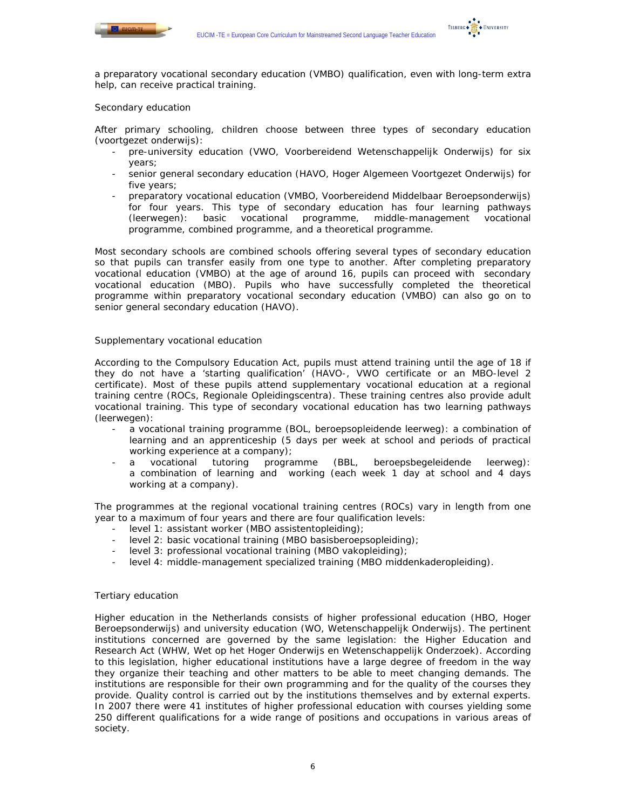



a preparatory vocational secondary education (VMBO) qualification, even with long-term extra help, can receive practical training.

## *Secondary education*

After primary schooling, children choose between three types of secondary education (*voortgezet onderwijs*):

- pre-university education (VWO, Voorbereidend Wetenschappelijk Onderwijs) for six years;
- senior general secondary education (HAVO, Hoger Algemeen Voortgezet Onderwijs) for five years;
- preparatory vocational education (VMBO, Voorbereidend Middelbaar Beroepsonderwijs) for four years. This type of secondary education has four learning pathways (*leerwegen*): basic vocational programme, middle-management vocational programme, combined programme, and a theoretical programme.

Most secondary schools are combined schools offering several types of secondary education so that pupils can transfer easily from one type to another. After completing preparatory vocational education (VMBO) at the age of around 16, pupils can proceed with secondary vocational education (MBO). Pupils who have successfully completed the theoretical programme within preparatory vocational secondary education (VMBO) can also go on to senior general secondary education (HAVO).

## *Supplementary vocational education*

According to the Compulsory Education Act, pupils must attend training until the age of 18 if they do not have a 'starting qualification' (HAVO-, VWO certificate or an MBO-level 2 certificate). Most of these pupils attend supplementary vocational education at a regional training centre (ROCs, *Regionale Opleidingscentra*). These training centres also provide adult vocational training. This type of secondary vocational education has two learning pathways (*leerwegen*):

- a vocational training programme (BOL, *beroepsopleidende leerweg*): a combination of learning and an apprenticeship (5 days per week at school and periods of practical working experience at a company);
- a vocational tutoring programme (BBL, *beroepsbegeleidende leerweg*): a combination of learning and working (each week 1 day at school and 4 days working at a company).

The programmes at the regional vocational training centres (ROCs) vary in length from one year to a maximum of four years and there are four qualification levels:

- level 1: assistant worker (MBO *assistentopleiding*);
- level 2: basic vocational training (MBO *basisberoepsopleiding*);
- level 3: professional vocational training (MBO *vakopleiding*);
- level 4: middle-management specialized training (MBO *middenkaderopleiding*).

#### *Tertiary education*

Higher education in the Netherlands consists of higher professional education (HBO, *Hoger Beroepsonderwijs*) and university education (WO, *Wetenschappelijk Onderwijs).* The pertinent institutions concerned are governed by the same legislation: the Higher Education and Research Act (WHW, *Wet op het Hoger Onderwijs en Wetenschappelijk Onderzoek*). According to this legislation, higher educational institutions have a large degree of freedom in the way they organize their teaching and other matters to be able to meet changing demands. The institutions are responsible for their own programming and for the quality of the courses they provide. Quality control is carried out by the institutions themselves and by external experts. In 2007 there were 41 institutes of higher professional education with courses yielding some 250 different qualifications for a wide range of positions and occupations in various areas of society.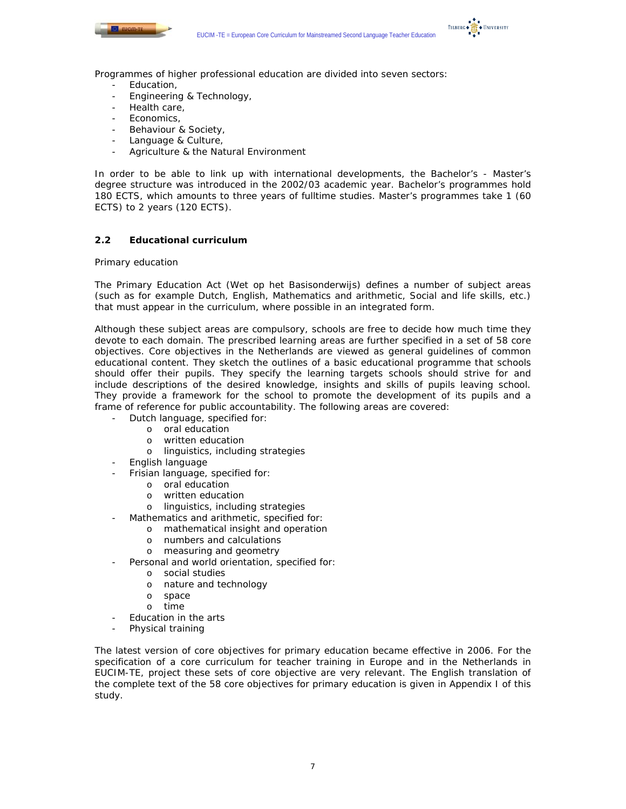



Programmes of higher professional education are divided into seven sectors:

- Education,
- Engineering & Technology,
- Health care,
- Economics.
- Behaviour & Society,
- Language & Culture,
- Agriculture & the Natural Environment

In order to be able to link up with international developments, the Bachelor's - Master's degree structure was introduced in the 2002/03 academic year. Bachelor's programmes hold 180 ECTS, which amounts to three years of fulltime studies. Master's programmes take 1 (60 ECTS) to 2 years (120 ECTS).

# **2.2 Educational curriculum**

## *Primary education*

The Primary Education Act (*Wet op het Basisonderwijs*) defines a number of subject areas (such as for example Dutch, English, Mathematics and arithmetic, Social and life skills, etc.) that must appear in the curriculum, where possible in an integrated form.

Although these subject areas are compulsory, schools are free to decide how much time they devote to each domain. The prescribed learning areas are further specified in a set of 58 core objectives. Core objectives in the Netherlands are viewed as general guidelines of common educational content. They sketch the outlines of a basic educational programme that schools should offer their pupils. They specify the learning targets schools should strive for and include descriptions of the desired knowledge, insights and skills of pupils leaving school. They provide a framework for the school to promote the development of its pupils and a frame of reference for public accountability. The following areas are covered:

- Dutch language, specified for:
	- o oral education
	- o written education
	- o linguistics, including strategies
- English language
- Frisian language, specified for:
	- o oral education
	- o written education
	- o linguistics, including strategies
- Mathematics and arithmetic, specified for:
	- o mathematical insight and operation
	- o numbers and calculations
	- o measuring and geometry
- Personal and world orientation, specified for:
	- o social studies
	- o nature and technology
	- o space
	- o time
- Education in the arts
- Physical training

The latest version of core objectives for primary education became effective in 2006. For the specification of a core curriculum for teacher training in Europe and in the Netherlands in EUCIM-TE, project these sets of core objective are very relevant. The English translation of the complete text of the 58 core objectives for primary education is given in Appendix I of this study.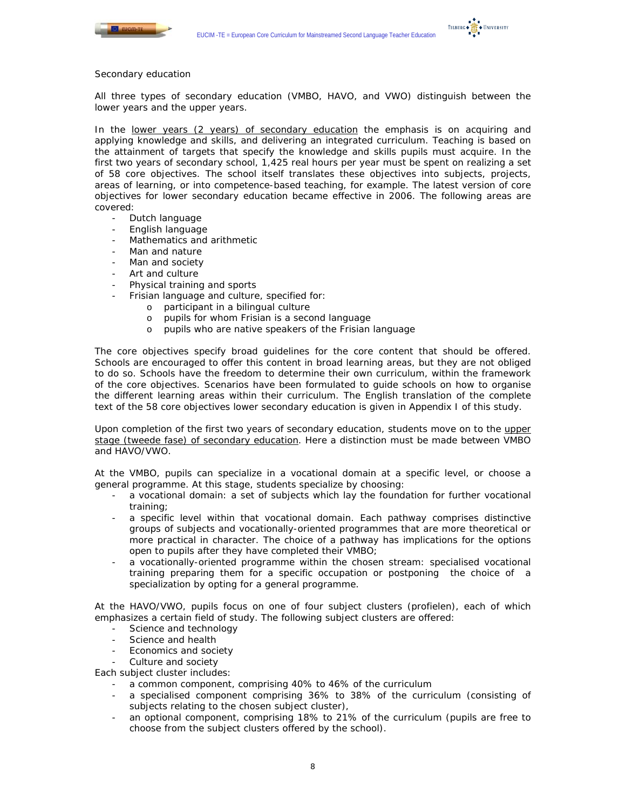



# *Secondary education*

All three types of secondary education (VMBO, HAVO, and VWO) distinguish between the lower years and the upper years.

In the lower years (2 years) of secondary education the emphasis is on acquiring and applying knowledge and skills, and delivering an integrated curriculum. Teaching is based on the attainment of targets that specify the knowledge and skills pupils must acquire. In the first two years of secondary school, 1,425 real hours per year must be spent on realizing a set of 58 core objectives. The school itself translates these objectives into subjects, projects, areas of learning, or into competence-based teaching, for example. The latest version of core objectives for lower secondary education became effective in 2006. The following areas are covered:

- Dutch language
- English language
- Mathematics and arithmetic
- Man and nature
- Man and society
- Art and culture
- Physical training and sports
	- Frisian language and culture, specified for:
		- o participant in a bilingual culture
		- o pupils for whom Frisian is a second language
		- o pupils who are native speakers of the Frisian language

The core objectives specify broad guidelines for the core content that should be offered. Schools are encouraged to offer this content in broad learning areas, but they are not obliged to do so. Schools have the freedom to determine their own curriculum, within the framework of the core objectives. Scenarios have been formulated to guide schools on how to organise the different learning areas within their curriculum. The English translation of the complete text of the 58 core objectives lower secondary education is given in Appendix I of this study.

Upon completion of the first two years of secondary education, students move on to the upper stage (*tweede fase*) of secondary education. Here a distinction must be made between VMBO and HAVO/VWO.

At the VMBO, pupils can specialize in a vocational domain at a specific level, or choose a general programme. At this stage, students specialize by choosing:

- a vocational domain: a set of subjects which lay the foundation for further vocational training;
- a specific level within that vocational domain. Each pathway comprises distinctive groups of subjects and vocationally-oriented programmes that are more theoretical or more practical in character. The choice of a pathway has implications for the options open to pupils after they have completed their VMBO;
- a vocationally-oriented programme within the chosen stream: specialised vocational training preparing them for a specific occupation or postponing the choice of a specialization by opting for a general programme.

At the HAVO/VWO, pupils focus on one of four subject clusters (*profielen*), each of which emphasizes a certain field of study. The following subject clusters are offered:

- Science and technology
- Science and health
- Economics and society
- Culture and society

Each subject cluster includes:

- a common component, comprising 40% to 46% of the curriculum
- a specialised component comprising 36% to 38% of the curriculum (consisting of subjects relating to the chosen subject cluster),
- an optional component, comprising 18% to 21% of the curriculum (pupils are free to choose from the subject clusters offered by the school).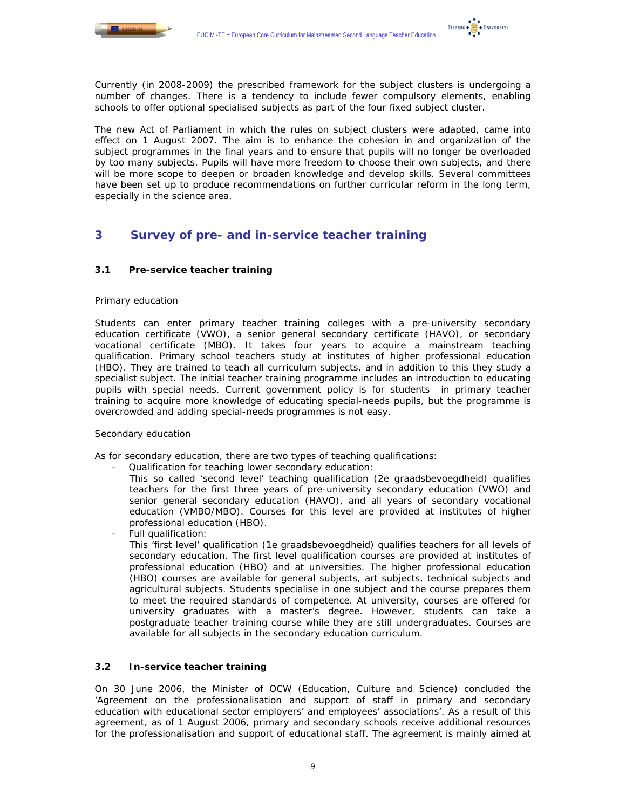

TILBURG . THE UNIVERSITY

Currently (in 2008-2009) the prescribed framework for the subject clusters is undergoing a number of changes. There is a tendency to include fewer compulsory elements, enabling schools to offer optional specialised subjects as part of the four fixed subject cluster.

The new Act of Parliament in which the rules on subject clusters were adapted, came into effect on 1 August 2007. The aim is to enhance the cohesion in and organization of the subject programmes in the final years and to ensure that pupils will no longer be overloaded by too many subjects. Pupils will have more freedom to choose their own subjects, and there will be more scope to deepen or broaden knowledge and develop skills. Several committees have been set up to produce recommendations on further curricular reform in the long term, especially in the science area.

# **3 Survey of pre- and in-service teacher training**

# **3.1 Pre-service teacher training**

## *Primary education*

Students can enter primary teacher training colleges with a pre-university secondary education certificate (VWO), a senior general secondary certificate (HAVO), or secondary vocational certificate (MBO). It takes four years to acquire a mainstream teaching qualification. Primary school teachers study at institutes of higher professional education (HBO). They are trained to teach all curriculum subjects, and in addition to this they study a specialist subject. The initial teacher training programme includes an introduction to educating pupils with special needs. Current government policy is for students in primary teacher training to acquire more knowledge of educating special-needs pupils, but the programme is overcrowded and adding special-needs programmes is not easy.

#### *Secondary education*

As for secondary education, there are two types of teaching qualifications:

- Qualification for teaching lower secondary education:

This so called 'second level' teaching qualification (*2e graadsbevoegdheid*) qualifies teachers for the first three years of pre-university secondary education (VWO) and senior general secondary education (HAVO), and all years of secondary vocational education (VMBO/MBO). Courses for this level are provided at institutes of higher professional education (HBO).

Full qualification:

This 'first level' qualification (*1e graadsbevoegdheid*) qualifies teachers for all levels of secondary education. The first level qualification courses are provided at institutes of professional education (HBO) and at universities. The higher professional education (HBO) courses are available for general subjects, art subjects, technical subjects and agricultural subjects. Students specialise in one subject and the course prepares them to meet the required standards of competence. At university, courses are offered for university graduates with a master's degree. However, students can take a postgraduate teacher training course while they are still undergraduates. Courses are available for all subjects in the secondary education curriculum.

#### **3.2 In-service teacher training**

On 30 June 2006, the Minister of OCW (Education, Culture and Science) concluded the 'Agreement on the professionalisation and support of staff in primary and secondary education with educational sector employers' and employees' associations'. As a result of this agreement, as of 1 August 2006, primary and secondary schools receive additional resources for the professionalisation and support of educational staff. The agreement is mainly aimed at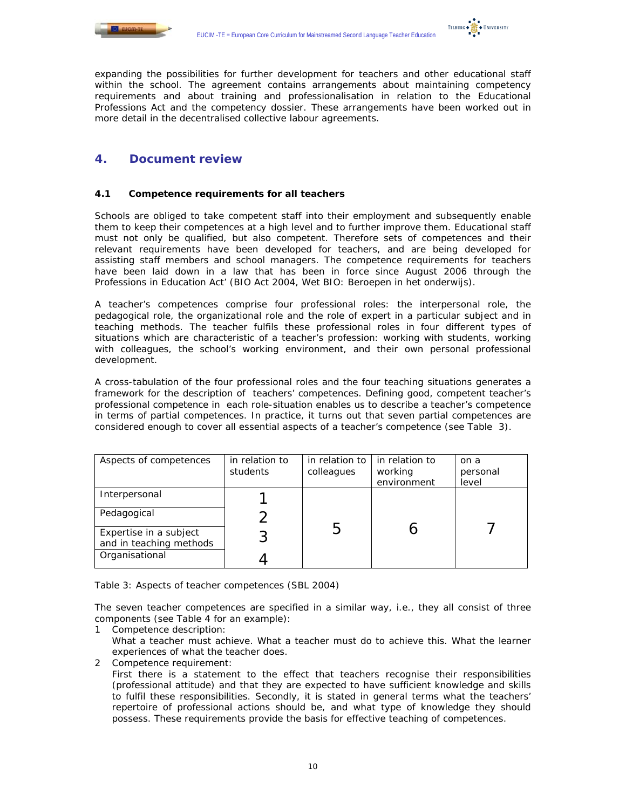



expanding the possibilities for further development for teachers and other educational staff within the school. The agreement contains arrangements about maintaining competency requirements and about training and professionalisation in relation to the Educational Professions Act and the competency dossier. These arrangements have been worked out in more detail in the decentralised collective labour agreements.

# **4. Document review**

# **4.1 Competence requirements for all teachers**

Schools are obliged to take competent staff into their employment and subsequently enable them to keep their competences at a high level and to further improve them. Educational staff must not only be qualified, but also competent. Therefore sets of competences and their relevant requirements have been developed for teachers, and are being developed for assisting staff members and school managers. The competence requirements for teachers have been laid down in a law that has been in force since August 2006 through the Professions in Education Act' (BIO Act 2004, Wet BIO: *Beroepen in het onderwijs*).

A teacher's competences comprise four professional roles: the interpersonal role, the pedagogical role, the organizational role and the role of expert in a particular subject and in teaching methods. The teacher fulfils these professional roles in four different types of situations which are characteristic of a teacher's profession: working with students, working with colleagues, the school's working environment, and their own personal professional development.

A cross-tabulation of the four professional roles and the four teaching situations generates a framework for the description of teachers' competences. Defining good, competent teacher's professional competence in each role-situation enables us to describe a teacher's competence in terms of partial competences. In practice, it turns out that seven partial competences are considered enough to cover all essential aspects of a teacher's competence (see Table 3).

| Aspects of competences                            | in relation to<br>students | in relation to<br>colleagues | in relation to<br>working<br>environment | on a<br>personal<br>level |
|---------------------------------------------------|----------------------------|------------------------------|------------------------------------------|---------------------------|
| Interpersonal                                     |                            |                              |                                          |                           |
| Pedagogical                                       |                            |                              |                                          |                           |
| Expertise in a subject<br>and in teaching methods |                            |                              |                                          |                           |
| Organisational                                    |                            |                              |                                          |                           |

*Table 3: Aspects of teacher competences (SBL 2004)* 

The seven teacher competences are specified in a similar way, i.e., they all consist of three components (see Table 4 for an example):

- 1 Competence description:
- What a teacher must achieve. What a teacher must do to achieve this. What the learner experiences of what the teacher does.
- 2 Competence requirement:
	- First there is a statement to the effect that teachers recognise their responsibilities (professional attitude) and that they are expected to have sufficient knowledge and skills to fulfil these responsibilities. Secondly, it is stated in general terms what the teachers' repertoire of professional actions should be, and what type of knowledge they should possess. These requirements provide the basis for effective teaching of competences.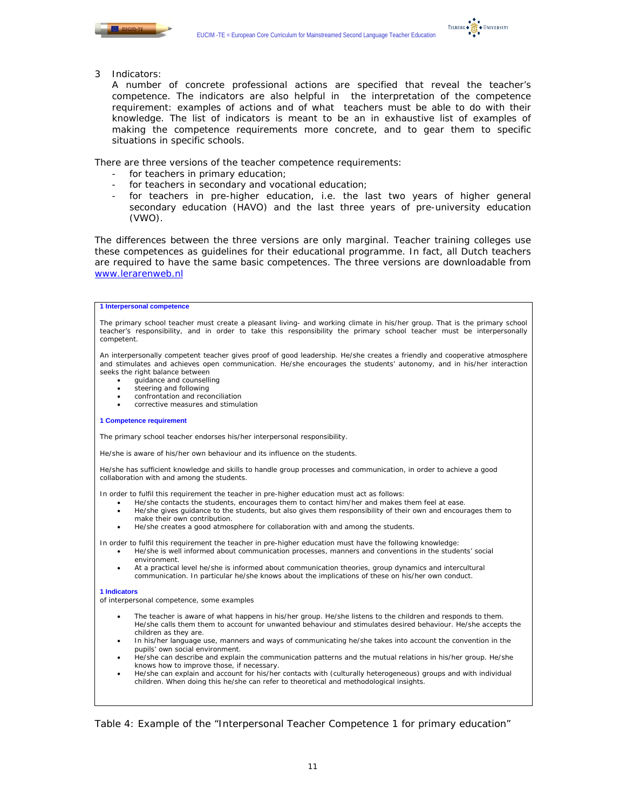

TILBURG . **K** + UNIVERSITY

3 Indicators:

A number of concrete professional actions are specified that reveal the teacher's competence. The indicators are also helpful in the interpretation of the competence requirement: examples of actions and of what teachers must be able to do with their knowledge. The list of indicators is meant to be an in exhaustive list of examples of making the competence requirements more concrete, and to gear them to specific situations in specific schools.

There are three versions of the teacher competence requirements:

- for teachers in primary education;
- for teachers in secondary and vocational education;
- for teachers in pre-higher education, i.e. the last two years of higher general secondary education (HAVO) and the last three years of pre-university education (VWO).

The differences between the three versions are only marginal. Teacher training colleges use these competences as guidelines for their educational programme. In fact, all Dutch teachers are required to have the same basic competences. The three versions are downloadable from www.lerarenweb.nl

#### **1 Interpersonal competence**

The primary school teacher must create a pleasant living- and working climate in his/her group. That is the primary school teacher's responsibility, and in order to take this responsibility the primary school teacher must be interpersonally competent.

An interpersonally competent teacher gives proof of good leadership. He/she creates a friendly and cooperative atmosphere and stimulates and achieves open communication. He/she encourages the students' autonomy, and in his/her interaction seeks the right balance between

- guidance and counselling
- steering and following
- confrontation and reconciliation
- corrective measures and stimulation

#### **1 Competence requirement**

The primary school teacher endorses his/her interpersonal responsibility.

He/she is aware of his/her own behaviour and its influence on the students.

He/she has sufficient knowledge and skills to handle group processes and communication, in order to achieve a good collaboration with and among the students.

In order to fulfil this requirement the teacher in pre-higher education must act as follows:

- He/she contacts the students, encourages them to contact him/her and makes them feel at ease.
- He/she gives guidance to the students, but also gives them responsibility of their own and encourages them to make their own contribution.
- He/she creates a good atmosphere for collaboration with and among the students.

In order to fulfil this requirement the teacher in pre-higher education must have the following knowledge:

- He/she is well informed about communication processes, manners and conventions in the students' social environment.
- At a practical level he/she is informed about communication theories, group dynamics and intercultural communication. In particular he/she knows about the implications of these on his/her own conduct.

#### **1 Indicators**

of interpersonal competence, some examples

- The teacher is aware of what happens in his/her group. He/she listens to the children and responds to them. He/she calls them them to account for unwanted behaviour and stimulates desired behaviour. He/she accepts the children as they are.
- In his/her language use, manners and ways of communicating he/she takes into account the convention in the pupils' own social environment.
- He/she can describe and explain the communication patterns and the mutual relations in his/her group. He/she knows how to improve those, if necessary.
- He/she can explain and account for his/her contacts with (culturally heterogeneous) groups and with individual children. When doing this he/she can refer to theoretical and methodological insights.

*Table 4: Example of the "Interpersonal Teacher Competence 1 for primary education"*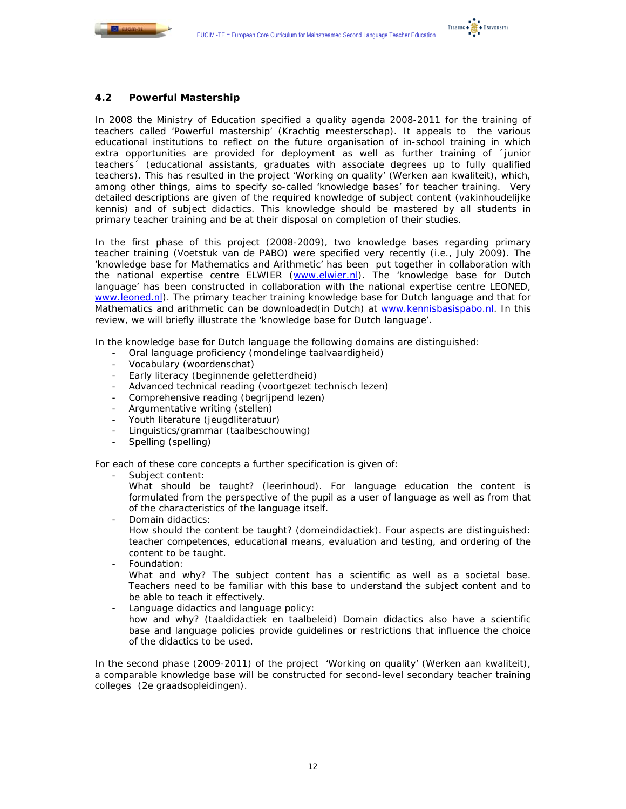

# **4.2 Powerful Mastership**

In 2008 the Ministry of Education specified a quality agenda 2008-2011 for the training of teachers called 'Powerful mastership' (*Krachtig meesterschap*). It appeals to the various educational institutions to reflect on the future organisation of in-school training in which extra opportunities are provided for deployment as well as further training of ´junior teachers´ (educational assistants, graduates with associate degrees up to fully qualified teachers). This has resulted in the project 'Working on quality' (*Werken aan kwaliteit*), which, among other things, aims to specify so-called 'knowledge bases' for teacher training. Very detailed descriptions are given of the required knowledge of subject content (*vakinhoudelijke kennis*) and of subject didactics. This knowledge should be mastered by all students in primary teacher training and be at their disposal on completion of their studies.

In the first phase of this project (2008-2009), two knowledge bases regarding primary teacher training (*Voetstuk van de PABO)* were specified very recently (i.e., July 2009). The 'knowledge base for Mathematics and Arithmetic' has been put together in collaboration with the national expertise centre ELWIER (www.elwier.nl). The 'knowledge base for Dutch language' has been constructed in collaboration with the national expertise centre LEONED, www.leoned.nl). The primary teacher training knowledge base for Dutch language and that for Mathematics and arithmetic can be downloaded(in Dutch) at www.kennisbasispabo.nl. In this review, we will briefly illustrate the 'knowledge base for Dutch language'.

In the knowledge base for Dutch language the following domains are distinguished:

- Oral language proficiency (*mondelinge taalvaardigheid*)
- Vocabulary (*woordenschat*)
- Early literacy (*beginnende geletterdheid*)
- Advanced technical reading (*voortgezet technisch lezen*)
- Comprehensive reading (*begrijpend lezen*)
- Argumentative writing (*stellen*)
- Youth literature (*jeugdliteratuur*)
- Linguistics/grammar (*taalbeschouwing*)
- Spelling (*spelling*)

For each of these core concepts a further specification is given of:

Subject content:

What should be taught? (*leerinhoud*). For language education the content is formulated from the perspective of the pupil as a user of language as well as from that of the characteristics of the language itself.

Domain didactics:

How should the content be taught? (*domeindidactiek*). Four aspects are distinguished: teacher competences, educational means, evaluation and testing, and ordering of the content to be taught.

- Foundation:

What and why? The subject content has a scientific as well as a societal base. Teachers need to be familiar with this base to understand the subject content and to be able to teach it effectively.

- Language didactics and language policy:

how and why? (*taaldidactiek en taalbeleid*) Domain didactics also have a scientific base and language policies provide guidelines or restrictions that influence the choice of the didactics to be used.

In the second phase (2009-2011) of the project 'Working on quality' (*Werken aan kwaliteit*), a comparable knowledge base will be constructed for second-level secondary teacher training colleges (*2e graadsopleidingen*).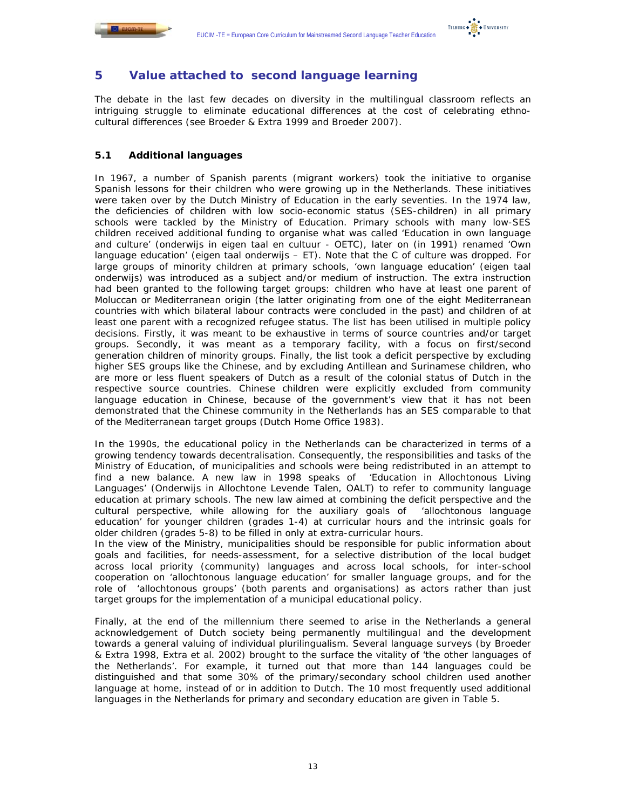



# **5 Value attached to second language learning**

The debate in the last few decades on diversity in the multilingual classroom reflects an intriguing struggle to eliminate educational differences at the cost of celebrating ethnocultural differences (see Broeder & Extra 1999 and Broeder 2007).

# **5.1 Additional languages**

In 1967, a number of Spanish parents (migrant workers) took the initiative to organise Spanish lessons for their children who were growing up in the Netherlands. These initiatives were taken over by the Dutch Ministry of Education in the early seventies. In the 1974 law, the deficiencies of children with low socio-economic status (SES-children) in all primary schools were tackled by the Ministry of Education. Primary schools with many low-SES children received additional funding to organise what was called 'Education in own language and culture' (*onderwijs in eigen taal en cultuur - OETC*), later on (in 1991) renamed 'Own language education' (*eigen taal onderwijs – ET*). Note that the C of culture was dropped. For large groups of minority children at primary schools, 'own language education' (*eigen taal onderwijs*) was introduced as a subject and/or medium of instruction. The extra instruction had been granted to the following target groups: children who have at least one parent of Moluccan or Mediterranean origin (the latter originating from one of the eight Mediterranean countries with which bilateral labour contracts were concluded in the past) and children of at least one parent with a recognized refugee status. The list has been utilised in multiple policy decisions. Firstly, it was meant to be exhaustive in terms of source countries and/or target groups. Secondly, it was meant as a temporary facility, with a focus on first/second generation children of minority groups. Finally, the list took a deficit perspective by excluding higher SES groups like the Chinese, and by excluding Antillean and Surinamese children, who are more or less fluent speakers of Dutch as a result of the colonial status of Dutch in the respective source countries. Chinese children were explicitly excluded from community language education in Chinese, because of the government's view that it has not been demonstrated that the Chinese community in the Netherlands has an SES comparable to that of the Mediterranean target groups (Dutch Home Office 1983).

In the 1990s, the educational policy in the Netherlands can be characterized in terms of a growing tendency towards decentralisation. Consequently, the responsibilities and tasks of the Ministry of Education, of municipalities and schools were being redistributed in an attempt to find a new balance. A new law in 1998 speaks of 'Education in Allochtonous Living Languages' (*Onderwijs in Allochtone Levende Talen*, OALT) to refer to community language education at primary schools. The new law aimed at combining the deficit perspective and the cultural perspective, while allowing for the auxiliary goals of 'allochtonous language education' for younger children (grades 1-4) at curricular hours and the intrinsic goals for older children (grades 5-8) to be filled in only at extra-curricular hours.

In the view of the Ministry, municipalities should be responsible for public information about goals and facilities, for needs-assessment, for a selective distribution of the local budget across local priority (community) languages and across local schools, for inter-school cooperation on 'allochtonous language education' for smaller language groups, and for the role of 'allochtonous groups' (both parents and organisations) as actors rather than just target groups for the implementation of a municipal educational policy.

Finally, at the end of the millennium there seemed to arise in the Netherlands a general acknowledgement of Dutch society being permanently multilingual and the development towards a general valuing of individual plurilingualism. Several language surveys (by Broeder & Extra 1998, Extra et al. 2002) brought to the surface the vitality of 'the other languages of the Netherlands'. For example, it turned out that more than 144 languages could be distinguished and that some 30% of the primary/secondary school children used another language at home, instead of or in addition to Dutch. The 10 most frequently used additional languages in the Netherlands for primary and secondary education are given in Table 5.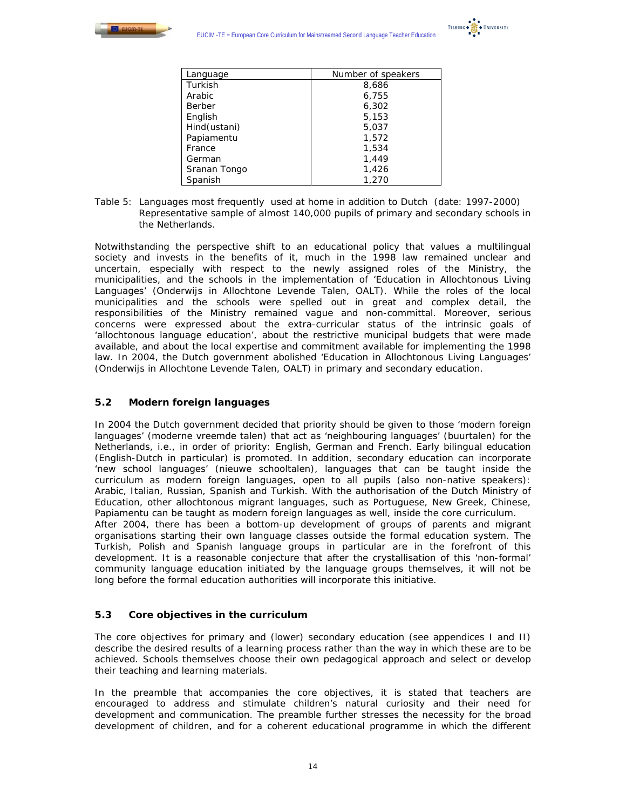



| Language     | Number of speakers |  |  |
|--------------|--------------------|--|--|
| Turkish      | 8,686              |  |  |
| Arabic       | 6,755              |  |  |
| Berber       | 6,302              |  |  |
| English      | 5,153              |  |  |
| Hind(ustani) | 5,037              |  |  |
| Papiamentu   | 1,572              |  |  |
| France       | 1,534              |  |  |
| German       | 1,449              |  |  |
| Sranan Tongo | 1,426              |  |  |
| Spanish      | 1,270              |  |  |

Table 5: Languages most frequently used at home in addition to Dutch (date: 1997-2000) *Representative sample of almost 140,000 pupils of primary and secondary schools in the Netherlands.* 

Notwithstanding the perspective shift to an educational policy that values a multilingual society and invests in the benefits of it, much in the 1998 law remained unclear and uncertain, especially with respect to the newly assigned roles of the Ministry, the municipalities, and the schools in the implementation of 'Education in Allochtonous Living Languages' (*Onderwijs in Allochtone Levende Talen, OALT*). While the roles of the local municipalities and the schools were spelled out in great and complex detail, the responsibilities of the Ministry remained vague and non-committal. Moreover, serious concerns were expressed about the extra-curricular status of the intrinsic goals of 'allochtonous language education', about the restrictive municipal budgets that were made available, and about the local expertise and commitment available for implementing the 1998 law. In 2004, the Dutch government abolished 'Education in Allochtonous Living Languages' (*Onderwijs in Allochtone Levende Talen, OALT*) in primary and secondary education.

# **5.2 Modern foreign languages**

In 2004 the Dutch government decided that priority should be given to those 'modern foreign languages' (*moderne vreemde talen*) that act as 'neighbouring languages' (*buurtalen*) for the Netherlands, i.e., in order of priority: English, German and French. Early bilingual education (English-Dutch in particular) is promoted. In addition, secondary education can incorporate 'new school languages' (*nieuwe schooltalen*), languages that can be taught inside the curriculum as modern foreign languages, open to all pupils (also non-native speakers): Arabic, Italian, Russian, Spanish and Turkish. With the authorisation of the Dutch Ministry of Education, other allochtonous migrant languages, such as Portuguese, New Greek, Chinese, Papiamentu can be taught as modern foreign languages as well, inside the core curriculum. After 2004, there has been a bottom-up development of groups of parents and migrant organisations starting their own language classes outside the formal education system. The Turkish, Polish and Spanish language groups in particular are in the forefront of this development. It is a reasonable conjecture that after the crystallisation of this 'non-formal' community language education initiated by the language groups themselves, it will not be long before the formal education authorities will incorporate this initiative.

# **5.3 Core objectives in the curriculum**

The core objectives for primary and (lower) secondary education (see appendices I and II) describe the desired results of a learning process rather than the way in which these are to be achieved. Schools themselves choose their own pedagogical approach and select or develop their teaching and learning materials.

In the preamble that accompanies the core objectives, it is stated that teachers are encouraged to address and stimulate children's natural curiosity and their need for development and communication. The preamble further stresses the necessity for the broad development of children, and for a coherent educational programme in which the different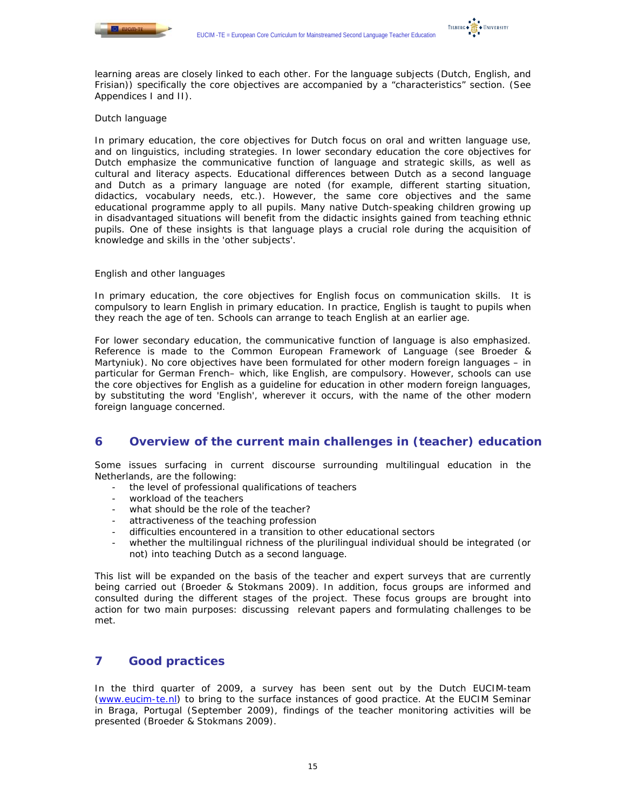

learning areas are closely linked to each other. For the language subjects (Dutch, English, and Frisian)) specifically the core objectives are accompanied by a "characteristics" section. (See Appendices I and II).

# *Dutch language*

In primary education, the core objectives for Dutch focus on oral and written language use, and on linguistics, including strategies. In lower secondary education the core objectives for Dutch emphasize the communicative function of language and strategic skills, as well as cultural and literacy aspects. Educational differences between Dutch as a second language and Dutch as a primary language are noted (for example, different starting situation, didactics, vocabulary needs, etc.). However, the same core objectives and the same educational programme apply to all pupils. Many native Dutch-speaking children growing up in disadvantaged situations will benefit from the didactic insights gained from teaching ethnic pupils. One of these insights is that language plays a crucial role during the acquisition of knowledge and skills in the 'other subjects'.

## *English and other languages*

In primary education, the core objectives for English focus on communication skills. It is compulsory to learn English in primary education. In practice, English is taught to pupils when they reach the age of ten. Schools can arrange to teach English at an earlier age.

For lower secondary education, the communicative function of language is also emphasized. Reference is made to the Common European Framework of Language (see Broeder & Martyniuk). No core objectives have been formulated for other modern foreign languages – in particular for German French– which, like English, are compulsory. However, schools can use the core objectives for English as a guideline for education in other modern foreign languages, by substituting the word 'English', wherever it occurs, with the name of the other modern foreign language concerned.

# **6 Overview of the current main challenges in (teacher) education**

Some issues surfacing in current discourse surrounding multilingual education in the Netherlands, are the following:

- the level of professional qualifications of teachers
- workload of the teachers
- what should be the role of the teacher?
- attractiveness of the teaching profession
- difficulties encountered in a transition to other educational sectors
- whether the multilingual richness of the plurilingual individual should be integrated (or not) into teaching Dutch as a second language.

This list will be expanded on the basis of the teacher and expert surveys that are currently being carried out (Broeder & Stokmans 2009). In addition, focus groups are informed and consulted during the different stages of the project. These focus groups are brought into action for two main purposes: discussing relevant papers and formulating challenges to be met.

# **7 Good practices**

In the third quarter of 2009, a survey has been sent out by the Dutch EUCIM-team (www.eucim-te.nl) to bring to the surface instances of good practice. At the EUCIM Seminar in Braga, Portugal (September 2009), findings of the teacher monitoring activities will be presented (Broeder & Stokmans 2009).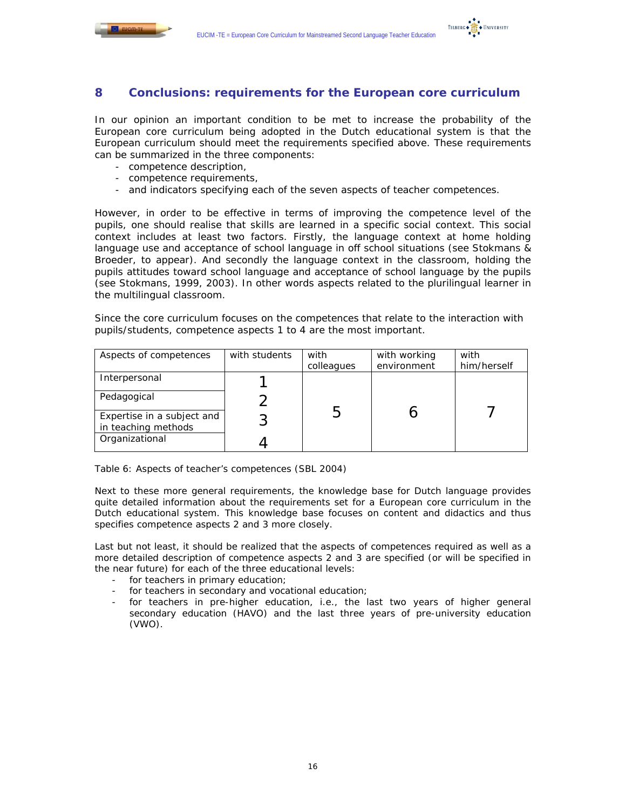



# **8 Conclusions: requirements for the European core curriculum**

In our opinion an important condition to be met to increase the probability of the European core curriculum being adopted in the Dutch educational system is that the European curriculum should meet the requirements specified above. These requirements can be summarized in the three components:

- competence description,
- competence requirements,
- and indicators specifying each of the seven aspects of teacher competences.

However, in order to be effective in terms of improving the competence level of the pupils, one should realise that skills are learned in a specific social context. This social context includes at least two factors. Firstly, the language context at home holding language use and acceptance of school language in off school situations (see Stokmans & Broeder, to appear). And secondly the language context in the classroom, holding the pupils attitudes toward school language and acceptance of school language by the pupils (see Stokmans, 1999, 2003). In other words aspects related to the plurilingual learner in the multilingual classroom.

Since the core curriculum focuses on the competences that relate to the interaction with pupils/students, competence aspects 1 to 4 are the most important.

| Aspects of competences                            | with students | with<br>colleagues | with working<br>environment | with<br>him/herself |
|---------------------------------------------------|---------------|--------------------|-----------------------------|---------------------|
| Interpersonal                                     |               |                    |                             |                     |
| Pedagogical                                       |               |                    |                             |                     |
| Expertise in a subject and<br>in teaching methods |               | h.                 |                             |                     |
| Organizational                                    |               |                    |                             |                     |

*Table 6: Aspects of teacher's competences (SBL 2004)* 

Next to these more general requirements, the knowledge base for Dutch language provides quite detailed information about the requirements set for a European core curriculum in the Dutch educational system. This knowledge base focuses on content and didactics and thus specifies competence aspects 2 and 3 more closely.

Last but not least, it should be realized that the aspects of competences required as well as a more detailed description of competence aspects 2 and 3 are specified (or will be specified in the near future) for each of the three educational levels:

- for teachers in primary education;
- for teachers in secondary and vocational education;
- for teachers in pre-higher education, i.e., the last two years of higher general secondary education (HAVO) and the last three years of pre-university education (VWO).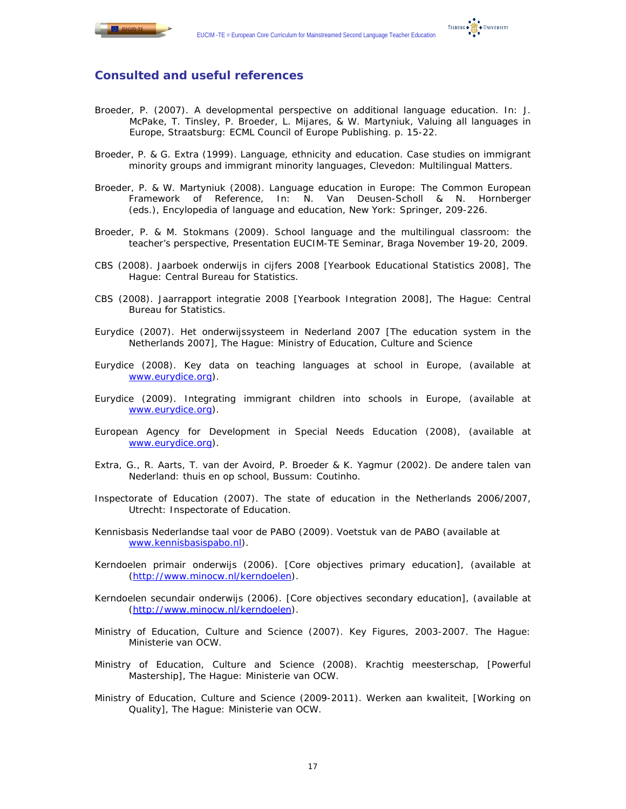

# **Consulted and useful references**

- Broeder, P. (2007). A developmental perspective on additional language education. In: J. McPake, T. Tinsley, P. Broeder, L. Mijares, & W. Martyniuk, *Valuing all languages in Europe,* Straatsburg: ECML Council of Europe Publishing. p. 15-22.
- Broeder, P. & G. Extra (1999). *Language, ethnicity and education. Case studies on immigrant minority groups and immigrant minority languages*, Clevedon: Multilingual Matters.
- Broeder, P. & W. Martyniuk (2008). Language education in Europe: The Common European Framework of Reference, In: N. Van Deusen-Scholl & N. Hornberger (eds.), *Encylopedia of language and education*, New York: Springer, 209-226.
- Broeder, P. & M. Stokmans (2009). *School language and the multilingual classroom: the teacher's perspective*, Presentation EUCIM-TE Seminar, Braga November 19-20, 2009.
- CBS (2008). *Jaarboek onderwijs in cijfers 2008* [Yearbook Educational Statistics 2008], The Hague: Central Bureau for Statistics.
- CBS (2008). *Jaarrapport integratie 2008* [Yearbook Integration 2008], The Hague: Central Bureau for Statistics.
- Eurydice (2007). *Het onderwijssysteem in Nederland 2007* [The education system in the Netherlands 2007], The Hague: Ministry of Education, Culture and Science
- Eurydice (2008). *Key data on teaching languages at school in Europe,* (available at www.eurydice.org).
- Eurydice (2009). *Integrating immigrant children into schools in Europe,* (available at www.eurydice.org).
- European Agency for Development in Special Needs Education (2008), (available at www.eurydice.org).
- Extra, G., R. Aarts, T. van der Avoird, P. Broeder & K. Yagmur (2002). *De andere talen van Nederland: thuis en op school*, Bussum: Coutinho.
- Inspectorate of Education (2007). *The state of education in the Netherlands* 2006/2007, Utrecht: Inspectorate of Education.
- Kennisbasis Nederlandse taal voor de PABO (2009). *Voetstuk van de PABO* (available at www.kennisbasispabo.nl).
- Kerndoelen primair onderwijs (2006). [Core objectives primary education], (available at (http://www.minocw.nl/kerndoelen).
- Kerndoelen secundair onderwijs (2006). [Core objectives secondary education], (available at (http://www.minocw.nl/kerndoelen).
- Ministry of Education, Culture and Science (2007). *Key Figures*, 2003-2007. The Hague: Ministerie van OCW.
- Ministry of Education, Culture and Science (2008). *Krachtig meesterschap*, [Powerful Mastership], The Hague: Ministerie van OCW.
- Ministry of Education, Culture and Science (2009-2011). *Werken aan kwaliteit,* [Working on Quality], The Hague: Ministerie van OCW.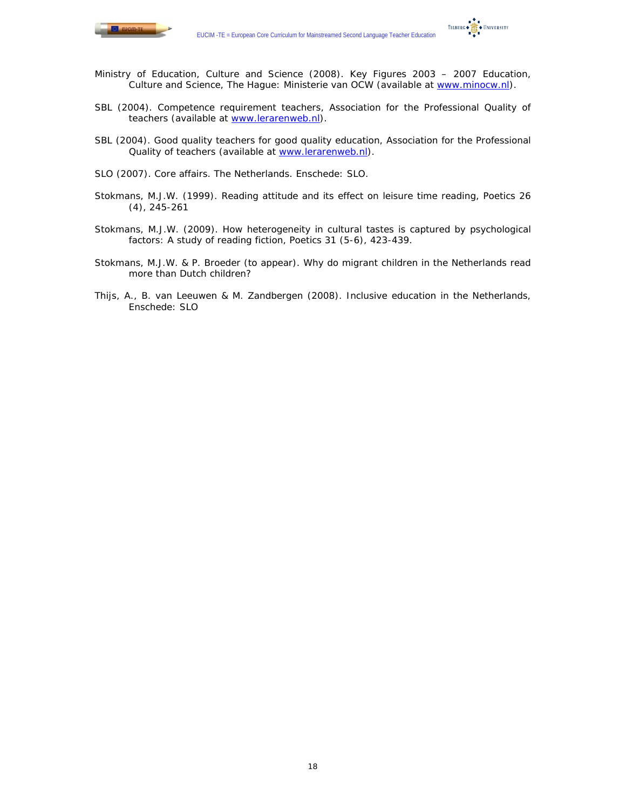

TILBURG . THE UNIVERSITY

- Ministry of Education, Culture and Science (2008). *Key Figures 2003 2007 Education, Culture and Science*, The Hague: Ministerie van OCW (available at www.minocw.nl).
- SBL (2004). *Competence requirement teachers*, Association for the Professional Quality of teachers (available at www.lerarenweb.nl).
- SBL (2004). *Good quality teachers for good quality education,* Association for the Professional Quality of teachers (available at www.lerarenweb.nl).
- SLO (2007). *Core affairs.* The Netherlands. Enschede: SLO.
- Stokmans, M.J.W. (1999). Reading attitude and its effect on leisure time reading, *Poetics* 26 (4), 245-261
- Stokmans, M.J.W. (2009). How heterogeneity in cultural tastes is captured by psychological factors: A study of reading fiction, *Poetics* 31 (5-6), 423-439.
- Stokmans, M.J.W. & P. Broeder (to appear). *Why do migrant children in the Netherlands read more than Dutch children?*
- Thijs, A., B. van Leeuwen & M. Zandbergen (2008). *Inclusive education in the Netherlands*, Enschede: SLO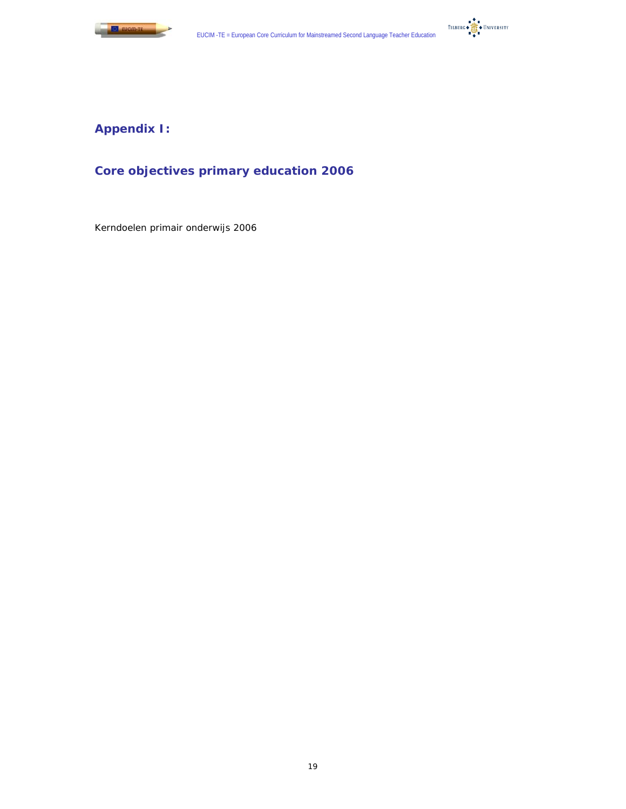



# **Appendix I:**

# **Core objectives primary education 2006**

Kerndoelen primair onderwijs 2006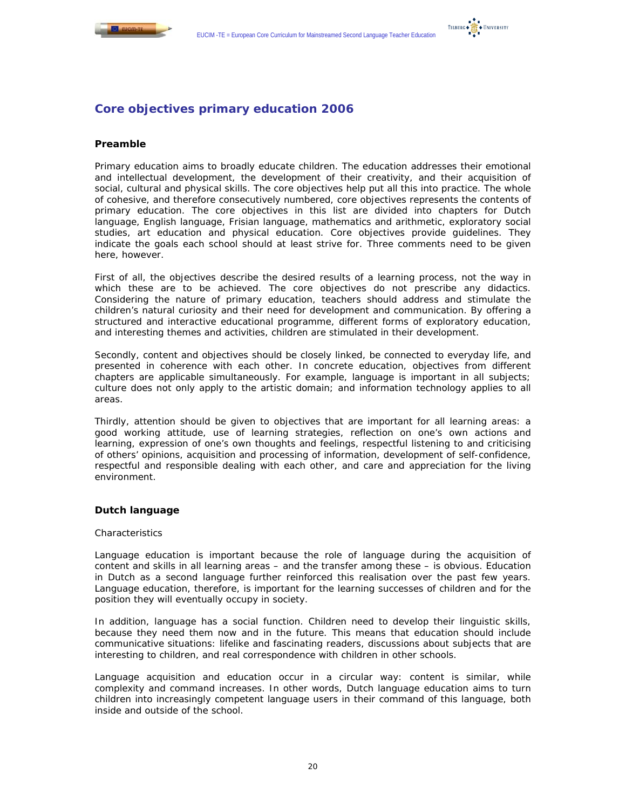

# **Core objectives primary education 2006**

# **Preamble**

Primary education aims to broadly educate children. The education addresses their emotional and intellectual development, the development of their creativity, and their acquisition of social, cultural and physical skills. The core objectives help put all this into practice. The whole of cohesive, and therefore consecutively numbered, core objectives represents the contents of primary education. The core objectives in this list are divided into chapters for Dutch language, English language, Frisian language, mathematics and arithmetic, exploratory social studies, art education and physical education. Core objectives provide guidelines. They indicate the goals each school should at least strive for. Three comments need to be given here, however.

First of all, the objectives describe the desired results of a learning process, not the way in which these are to be achieved. The core objectives do not prescribe any didactics. Considering the nature of primary education, teachers should address and stimulate the children's natural curiosity and their need for development and communication. By offering a structured and interactive educational programme, different forms of exploratory education, and interesting themes and activities, children are stimulated in their development.

Secondly, content and objectives should be closely linked, be connected to everyday life, and presented in coherence with each other. In concrete education, objectives from different chapters are applicable simultaneously. For example, language is important in all subjects; culture does not only apply to the artistic domain; and information technology applies to all areas.

Thirdly, attention should be given to objectives that are important for all learning areas: a good working attitude, use of learning strategies, reflection on one's own actions and learning, expression of one's own thoughts and feelings, respectful listening to and criticising of others' opinions, acquisition and processing of information, development of self-confidence, respectful and responsible dealing with each other, and care and appreciation for the living environment.

# **Dutch language**

#### *Characteristics*

Language education is important because the role of language during the acquisition of content and skills in all learning areas – and the transfer among these – is obvious. Education in Dutch as a second language further reinforced this realisation over the past few years. Language education, therefore, is important for the learning successes of children and for the position they will eventually occupy in society.

In addition, language has a social function. Children need to develop their linguistic skills, because they need them now and in the future. This means that education should include communicative situations: lifelike and fascinating readers, discussions about subjects that are interesting to children, and real correspondence with children in other schools.

Language acquisition and education occur in a circular way: content is similar, while complexity and command increases. In other words, Dutch language education aims to turn children into increasingly competent language users in their command of this language, both inside and outside of the school.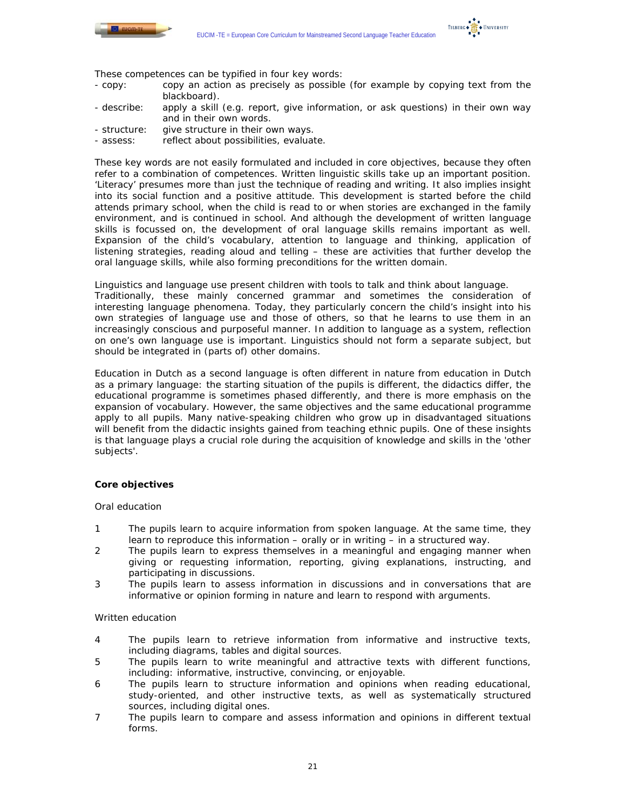

TILBURG . TE . UNIVERSITY

- These competences can be typified in four key words:<br>- copv: copy an action as precisely as possible copy an action as precisely as possible (for example by copying text from the blackboard).
- describe: apply a skill (e.g. report, give information, or ask questions) in their own way and in their own words.
- structure: give structure in their own ways.
- assess: reflect about possibilities, evaluate.

These key words are not easily formulated and included in core objectives, because they often refer to a combination of competences. Written linguistic skills take up an important position. 'Literacy' presumes more than just the technique of reading and writing. It also implies insight into its social function and a positive attitude. This development is started before the child attends primary school, when the child is read to or when stories are exchanged in the family environment, and is continued in school. And although the development of written language skills is focussed on, the development of oral language skills remains important as well. Expansion of the child's vocabulary, attention to language and thinking, application of listening strategies, reading aloud and telling – these are activities that further develop the oral language skills, while also forming preconditions for the written domain.

Linguistics and language use present children with tools to talk and think about language. Traditionally, these mainly concerned grammar and sometimes the consideration of interesting language phenomena. Today, they particularly concern the child's insight into his own strategies of language use and those of others, so that he learns to use them in an increasingly conscious and purposeful manner. In addition to language as a system, reflection on one's own language use is important. Linguistics should not form a separate subject, but should be integrated in (parts of) other domains.

Education in Dutch as a second language is often different in nature from education in Dutch as a primary language: the starting situation of the pupils is different, the didactics differ, the educational programme is sometimes phased differently, and there is more emphasis on the expansion of vocabulary. However, the same objectives and the same educational programme apply to all pupils. Many native-speaking children who grow up in disadvantaged situations will benefit from the didactic insights gained from teaching ethnic pupils. One of these insights is that language plays a crucial role during the acquisition of knowledge and skills in the 'other subjects'.

#### *Core objectives*

#### *Oral education*

- 1 The pupils learn to acquire information from spoken language. At the same time, they learn to reproduce this information – orally or in writing – in a structured way.
- 2 The pupils learn to express themselves in a meaningful and engaging manner when giving or requesting information, reporting, giving explanations, instructing, and participating in discussions.
- 3 The pupils learn to assess information in discussions and in conversations that are informative or opinion forming in nature and learn to respond with arguments.

#### *Written education*

- 4 The pupils learn to retrieve information from informative and instructive texts, including diagrams, tables and digital sources.
- 5 The pupils learn to write meaningful and attractive texts with different functions, including: informative, instructive, convincing, or enjoyable.
- 6 The pupils learn to structure information and opinions when reading educational, study-oriented, and other instructive texts, as well as systematically structured sources, including digital ones.
- 7 The pupils learn to compare and assess information and opinions in different textual forms.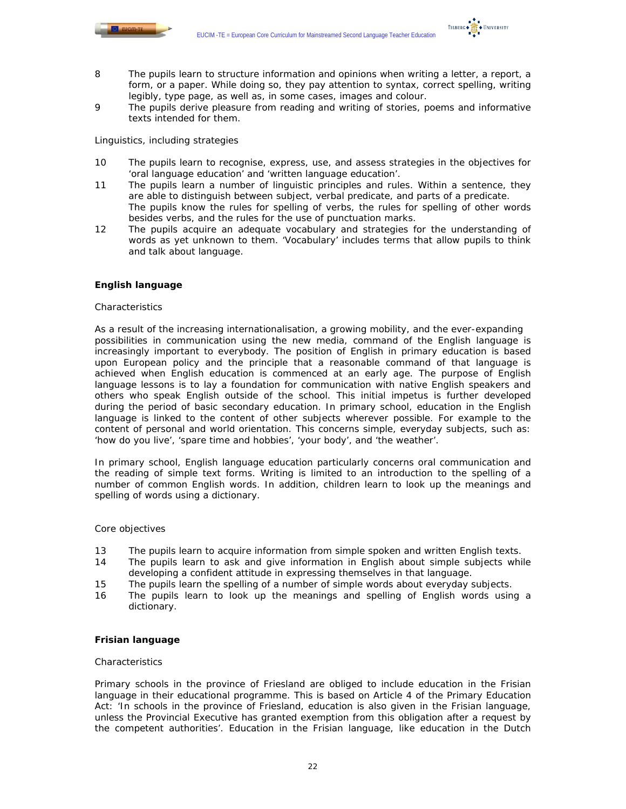

TILBURG . TE . UNIVERSITY

- 8 The pupils learn to structure information and opinions when writing a letter, a report, a form, or a paper. While doing so, they pay attention to syntax, correct spelling, writing legibly, type page, as well as, in some cases, images and colour.
- 9 The pupils derive pleasure from reading and writing of stories, poems and informative texts intended for them.

### *Linguistics, including strategies*

- 10 The pupils learn to recognise, express, use, and assess strategies in the objectives for 'oral language education' and 'written language education'.
- 11 The pupils learn a number of linguistic principles and rules. Within a sentence, they are able to distinguish between subject, verbal predicate, and parts of a predicate. The pupils know the rules for spelling of verbs, the rules for spelling of other words besides verbs, and the rules for the use of punctuation marks.
- 12 The pupils acquire an adequate vocabulary and strategies for the understanding of words as yet unknown to them. 'Vocabulary' includes terms that allow pupils to think and talk about language.

# **English language**

#### *Characteristics*

As a result of the increasing internationalisation, a growing mobility, and the ever-expanding possibilities in communication using the new media, command of the English language is increasingly important to everybody. The position of English in primary education is based upon European policy and the principle that a reasonable command of that language is achieved when English education is commenced at an early age. The purpose of English language lessons is to lay a foundation for communication with native English speakers and others who speak English outside of the school. This initial impetus is further developed during the period of basic secondary education. In primary school, education in the English language is linked to the content of other subjects wherever possible. For example to the content of personal and world orientation. This concerns simple, everyday subjects, such as: 'how do you live', 'spare time and hobbies', 'your body', and 'the weather'.

In primary school, English language education particularly concerns oral communication and the reading of simple text forms. Writing is limited to an introduction to the spelling of a number of common English words. In addition, children learn to look up the meanings and spelling of words using a dictionary.

### *Core objectives*

- 13 The pupils learn to acquire information from simple spoken and written English texts.
- 14 The pupils learn to ask and give information in English about simple subjects while developing a confident attitude in expressing themselves in that language.
- 15 The pupils learn the spelling of a number of simple words about everyday subjects.
- 16 The pupils learn to look up the meanings and spelling of English words using a dictionary.

# **Frisian language**

#### *Characteristics*

Primary schools in the province of Friesland are obliged to include education in the Frisian language in their educational programme. This is based on Article 4 of the Primary Education Act: 'In schools in the province of Friesland, education is also given in the Frisian language, unless the Provincial Executive has granted exemption from this obligation after a request by the competent authorities'. Education in the Frisian language, like education in the Dutch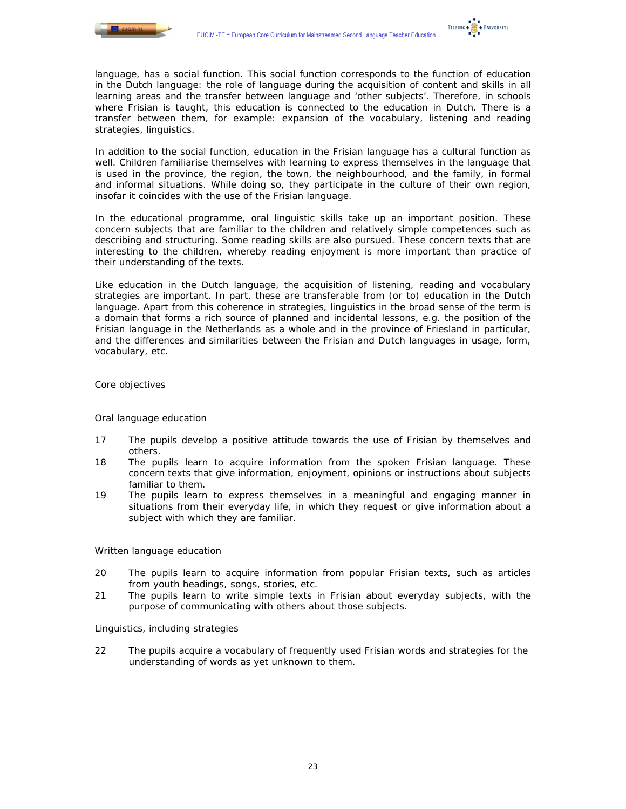

language, has a social function. This social function corresponds to the function of education in the Dutch language: the role of language during the acquisition of content and skills in all learning areas and the transfer between language and 'other subjects'. Therefore, in schools where Frisian is taught, this education is connected to the education in Dutch. There is a transfer between them, for example: expansion of the vocabulary, listening and reading strategies, linguistics.

In addition to the social function, education in the Frisian language has a cultural function as well. Children familiarise themselves with learning to express themselves in the language that is used in the province, the region, the town, the neighbourhood, and the family, in formal and informal situations. While doing so, they participate in the culture of their own region, insofar it coincides with the use of the Frisian language.

In the educational programme, oral linguistic skills take up an important position. These concern subjects that are familiar to the children and relatively simple competences such as describing and structuring. Some reading skills are also pursued. These concern texts that are interesting to the children, whereby reading enjoyment is more important than practice of their understanding of the texts.

Like education in the Dutch language, the acquisition of listening, reading and vocabulary strategies are important. In part, these are transferable from (or to) education in the Dutch language. Apart from this coherence in strategies, linguistics in the broad sense of the term is a domain that forms a rich source of planned and incidental lessons, e.g. the position of the Frisian language in the Netherlands as a whole and in the province of Friesland in particular, and the differences and similarities between the Frisian and Dutch languages in usage, form, vocabulary, etc.

#### *Core objectives*

#### *Oral language education*

- 17 The pupils develop a positive attitude towards the use of Frisian by themselves and others.
- 18 The pupils learn to acquire information from the spoken Frisian language. These concern texts that give information, enjoyment, opinions or instructions about subjects familiar to them.
- 19 The pupils learn to express themselves in a meaningful and engaging manner in situations from their everyday life, in which they request or give information about a subject with which they are familiar.

#### *Written language education*

- 20 The pupils learn to acquire information from popular Frisian texts, such as articles from youth headings, songs, stories, etc.
- 21 The pupils learn to write simple texts in Frisian about everyday subjects, with the purpose of communicating with others about those subjects.

#### *Linguistics, including strategies*

22 The pupils acquire a vocabulary of frequently used Frisian words and strategies for the understanding of words as yet unknown to them.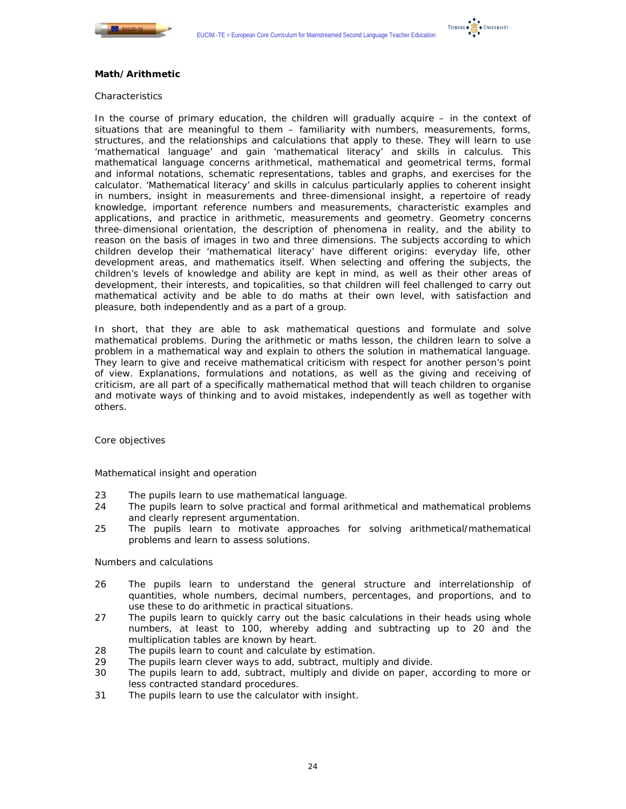



## **Math/Arithmetic**

#### *Characteristics*

In the course of primary education, the children will gradually acquire – in the context of situations that are meaningful to them – familiarity with numbers, measurements, forms, structures, and the relationships and calculations that apply to these. They will learn to use 'mathematical language' and gain 'mathematical literacy' and skills in calculus. This mathematical language concerns arithmetical, mathematical and geometrical terms, formal and informal notations, schematic representations, tables and graphs, and exercises for the calculator. 'Mathematical literacy' and skills in calculus particularly applies to coherent insight in numbers, insight in measurements and three-dimensional insight, a repertoire of ready knowledge, important reference numbers and measurements, characteristic examples and applications, and practice in arithmetic, measurements and geometry. Geometry concerns three-dimensional orientation, the description of phenomena in reality, and the ability to reason on the basis of images in two and three dimensions. The subjects according to which children develop their 'mathematical literacy' have different origins: everyday life, other development areas, and mathematics itself. When selecting and offering the subjects, the children's levels of knowledge and ability are kept in mind, as well as their other areas of development, their interests, and topicalities, so that children will feel challenged to carry out mathematical activity and be able to do maths at their own level, with satisfaction and pleasure, both independently and as a part of a group.

In short, that they are able to ask mathematical questions and formulate and solve mathematical problems. During the arithmetic or maths lesson, the children learn to solve a problem in a mathematical way and explain to others the solution in mathematical language. They learn to give and receive mathematical criticism with respect for another person's point of view. Explanations, formulations and notations, as well as the giving and receiving of criticism, are all part of a specifically mathematical method that will teach children to organise and motivate ways of thinking and to avoid mistakes, independently as well as together with others.

#### *Core objectives*

#### *Mathematical insight and operation*

- 23 The pupils learn to use mathematical language.
- 24 The pupils learn to solve practical and formal arithmetical and mathematical problems and clearly represent argumentation.
- 25 The pupils learn to motivate approaches for solving arithmetical/mathematical problems and learn to assess solutions.

#### *Numbers and calculations*

- 26 The pupils learn to understand the general structure and interrelationship of quantities, whole numbers, decimal numbers, percentages, and proportions, and to use these to do arithmetic in practical situations.
- 27 The pupils learn to quickly carry out the basic calculations in their heads using whole numbers, at least to 100, whereby adding and subtracting up to 20 and the multiplication tables are known by heart.
- 28 The pupils learn to count and calculate by estimation.
- 29 The pupils learn clever ways to add, subtract, multiply and divide.
- 30 The pupils learn to add, subtract, multiply and divide on paper, according to more or less contracted standard procedures.
- 31 The pupils learn to use the calculator with insight.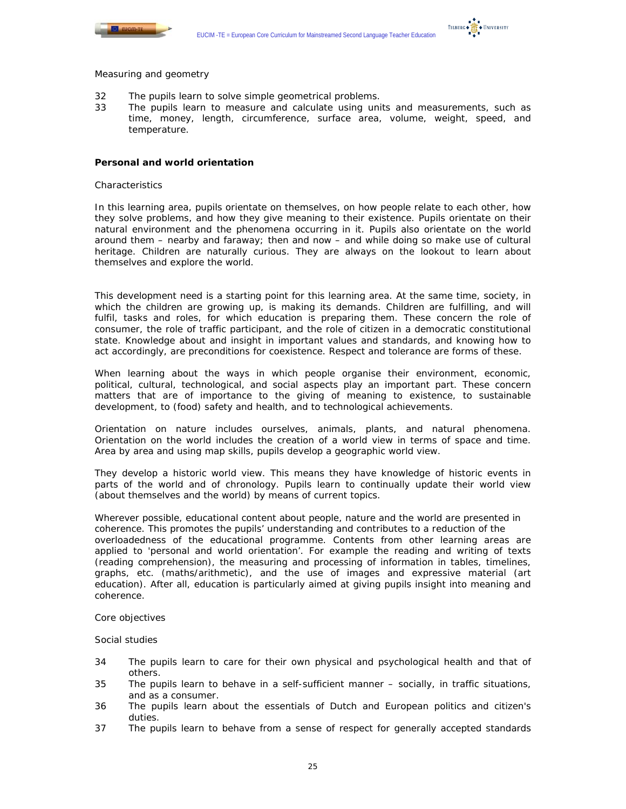



#### *Measuring and geometry*

- 32 The pupils learn to solve simple geometrical problems.
- 33 The pupils learn to measure and calculate using units and measurements, such as time, money, length, circumference, surface area, volume, weight, speed, and temperature.

### **Personal and world orientation**

#### *Characteristics*

In this learning area, pupils orientate on themselves, on how people relate to each other, how they solve problems, and how they give meaning to their existence. Pupils orientate on their natural environment and the phenomena occurring in it. Pupils also orientate on the world around them – nearby and faraway; then and now – and while doing so make use of cultural heritage. Children are naturally curious. They are always on the lookout to learn about themselves and explore the world.

This development need is a starting point for this learning area. At the same time, society, in which the children are growing up, is making its demands. Children are fulfilling, and will fulfil, tasks and roles, for which education is preparing them. These concern the role of consumer, the role of traffic participant, and the role of citizen in a democratic constitutional state. Knowledge about and insight in important values and standards, and knowing how to act accordingly, are preconditions for coexistence. Respect and tolerance are forms of these.

When learning about the ways in which people organise their environment, economic, political, cultural, technological, and social aspects play an important part. These concern matters that are of importance to the giving of meaning to existence, to sustainable development, to (food) safety and health, and to technological achievements.

Orientation on nature includes ourselves, animals, plants, and natural phenomena. Orientation on the world includes the creation of a world view in terms of space and time. Area by area and using map skills, pupils develop a geographic world view.

They develop a historic world view. This means they have knowledge of historic events in parts of the world and of chronology. Pupils learn to continually update their world view (about themselves and the world) by means of current topics.

Wherever possible, educational content about people, nature and the world are presented in coherence. This promotes the pupils' understanding and contributes to a reduction of the overloadedness of the educational programme. Contents from other learning areas are applied to 'personal and world orientation'. For example the reading and writing of texts (reading comprehension), the measuring and processing of information in tables, timelines, graphs, etc. (maths/arithmetic), and the use of images and expressive material (art education). After all, education is particularly aimed at giving pupils insight into meaning and coherence.

#### *Core objectives*

#### *Social studies*

- 34 The pupils learn to care for their own physical and psychological health and that of others.
- 35 The pupils learn to behave in a self-sufficient manner socially, in traffic situations, and as a consumer.
- 36 The pupils learn about the essentials of Dutch and European politics and citizen's duties.
- 37 The pupils learn to behave from a sense of respect for generally accepted standards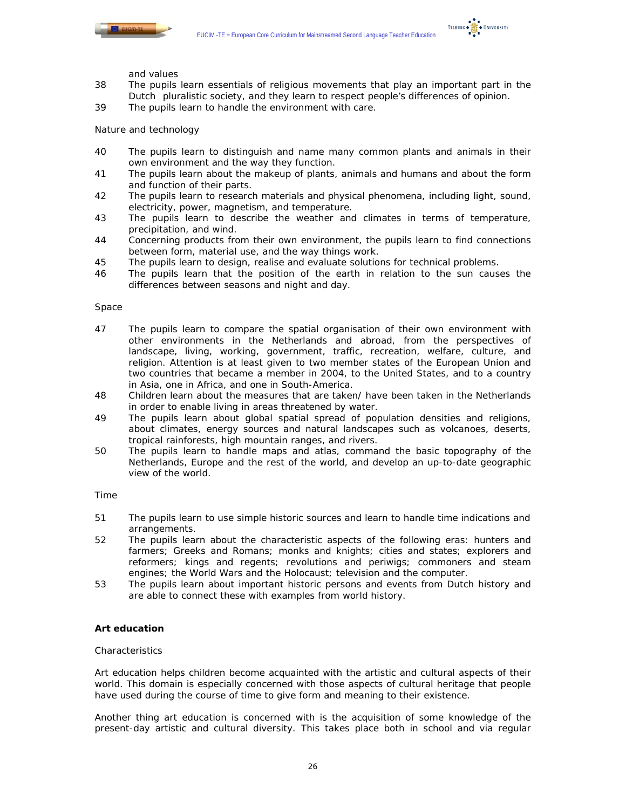



and values

- 38 The pupils learn essentials of religious movements that play an important part in the Dutch pluralistic society, and they learn to respect people's differences of opinion.
- 39 The pupils learn to handle the environment with care.

# *Nature and technology*

- 40 The pupils learn to distinguish and name many common plants and animals in their own environment and the way they function.
- 41 The pupils learn about the makeup of plants, animals and humans and about the form and function of their parts.
- 42 The pupils learn to research materials and physical phenomena, including light, sound, electricity, power, magnetism, and temperature.
- 43 The pupils learn to describe the weather and climates in terms of temperature, precipitation, and wind.
- 44 Concerning products from their own environment, the pupils learn to find connections between form, material use, and the way things work.
- 45 The pupils learn to design, realise and evaluate solutions for technical problems.
- 46 The pupils learn that the position of the earth in relation to the sun causes the differences between seasons and night and day.

#### *Space*

- 47 The pupils learn to compare the spatial organisation of their own environment with other environments in the Netherlands and abroad, from the perspectives of landscape, living, working, government, traffic, recreation, welfare, culture, and religion. Attention is at least given to two member states of the European Union and two countries that became a member in 2004, to the United States, and to a country in Asia, one in Africa, and one in South-America.
- 48 Children learn about the measures that are taken/ have been taken in the Netherlands in order to enable living in areas threatened by water.
- 49 The pupils learn about global spatial spread of population densities and religions, about climates, energy sources and natural landscapes such as volcanoes, deserts, tropical rainforests, high mountain ranges, and rivers.
- 50 The pupils learn to handle maps and atlas, command the basic topography of the Netherlands, Europe and the rest of the world, and develop an up-to-date geographic view of the world.

#### *Time*

- 51 The pupils learn to use simple historic sources and learn to handle time indications and arrangements.
- 52 The pupils learn about the characteristic aspects of the following eras: hunters and farmers; Greeks and Romans; monks and knights; cities and states; explorers and reformers; kings and regents; revolutions and periwigs; commoners and steam engines; the World Wars and the Holocaust; television and the computer.
- 53 The pupils learn about important historic persons and events from Dutch history and are able to connect these with examples from world history.

# **Art education**

#### *Characteristics*

Art education helps children become acquainted with the artistic and cultural aspects of their world. This domain is especially concerned with those aspects of cultural heritage that people have used during the course of time to give form and meaning to their existence.

Another thing art education is concerned with is the acquisition of some knowledge of the present-day artistic and cultural diversity. This takes place both in school and via regular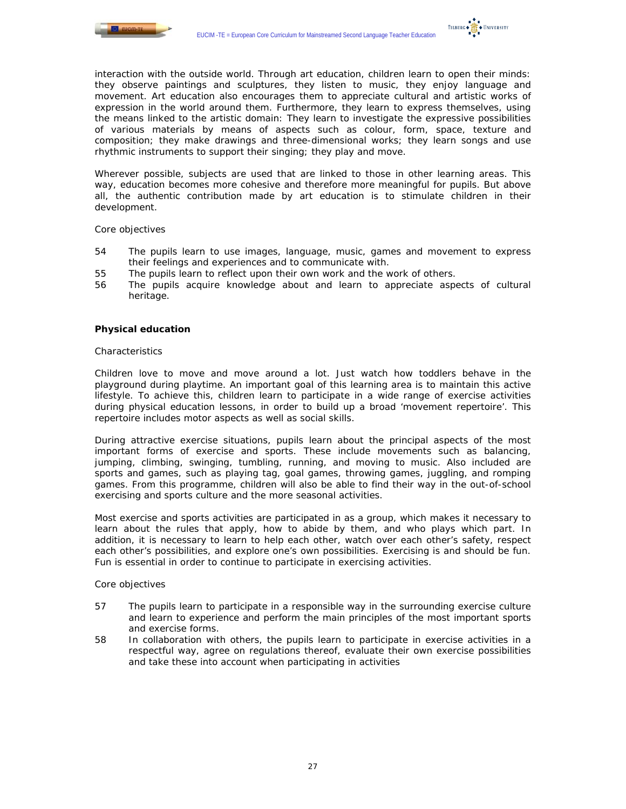



Wherever possible, subjects are used that are linked to those in other learning areas. This way, education becomes more cohesive and therefore more meaningful for pupils. But above all, the authentic contribution made by art education is to stimulate children in their development.

#### *Core objectives*

- 54 The pupils learn to use images, language, music, games and movement to express their feelings and experiences and to communicate with.
- 55 The pupils learn to reflect upon their own work and the work of others.
- 56 The pupils acquire knowledge about and learn to appreciate aspects of cultural heritage.

#### **Physical education**

#### *Characteristics*

Children love to move and move around a lot. Just watch how toddlers behave in the playground during playtime. An important goal of this learning area is to maintain this active lifestyle. To achieve this, children learn to participate in a wide range of exercise activities during physical education lessons, in order to build up a broad 'movement repertoire'. This repertoire includes motor aspects as well as social skills.

During attractive exercise situations, pupils learn about the principal aspects of the most important forms of exercise and sports. These include movements such as balancing, jumping, climbing, swinging, tumbling, running, and moving to music. Also included are sports and games, such as playing tag, goal games, throwing games, juggling, and romping games. From this programme, children will also be able to find their way in the out-of-school exercising and sports culture and the more seasonal activities.

Most exercise and sports activities are participated in as a group, which makes it necessary to learn about the rules that apply, how to abide by them, and who plays which part. In addition, it is necessary to learn to help each other, watch over each other's safety, respect each other's possibilities, and explore one's own possibilities. Exercising is and should be fun. Fun is essential in order to continue to participate in exercising activities.

- 57 The pupils learn to participate in a responsible way in the surrounding exercise culture and learn to experience and perform the main principles of the most important sports and exercise forms.
- 58 In collaboration with others, the pupils learn to participate in exercise activities in a respectful way, agree on regulations thereof, evaluate their own exercise possibilities and take these into account when participating in activities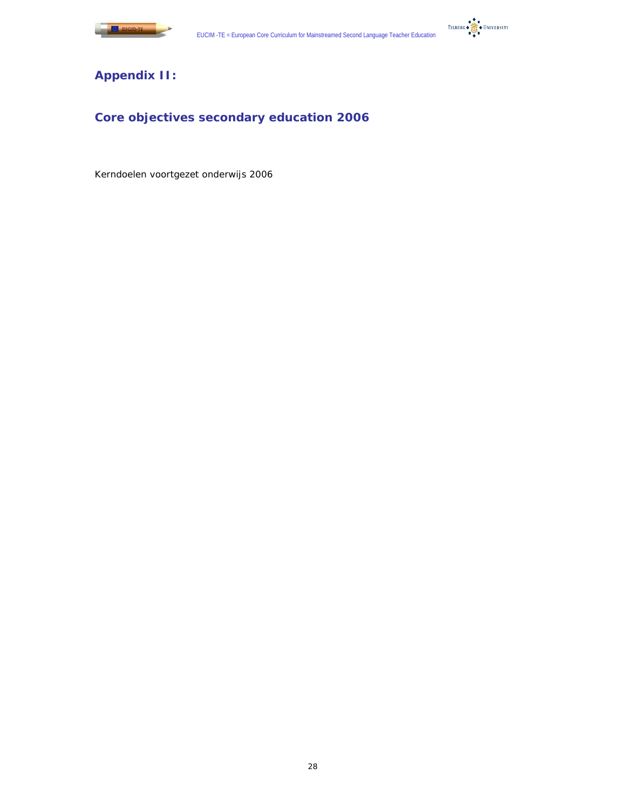



# **Appendix II:**

# **Core objectives secondary education 2006**

Kerndoelen voortgezet onderwijs 2006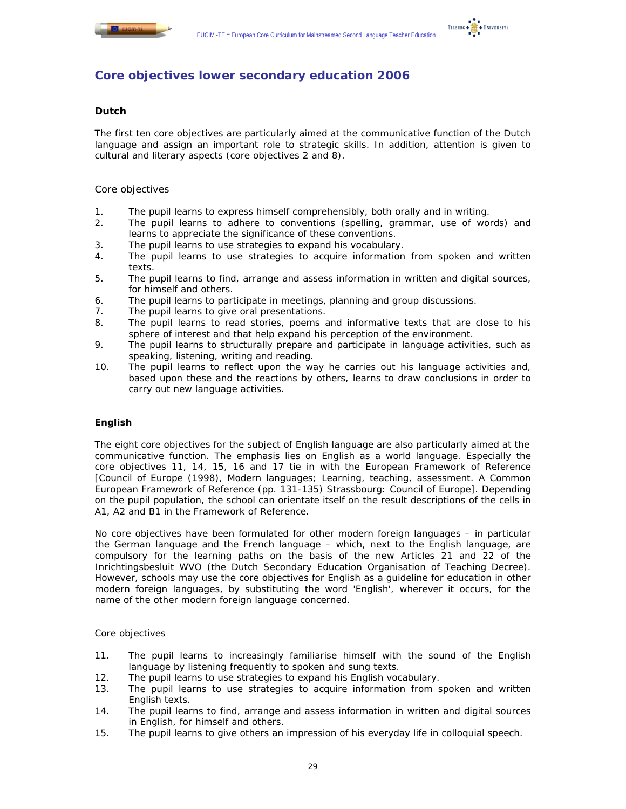



# **Core objectives lower secondary education 2006**

# **Dutch**

The first ten core objectives are particularly aimed at the communicative function of the Dutch language and assign an important role to strategic skills. In addition, attention is given to cultural and literary aspects (core objectives 2 and 8).

# *Core objectives*

- 1. The pupil learns to express himself comprehensibly, both orally and in writing.
- 2. The pupil learns to adhere to conventions (spelling, grammar, use of words) and learns to appreciate the significance of these conventions.
- 3. The pupil learns to use strategies to expand his vocabulary.
- 4. The pupil learns to use strategies to acquire information from spoken and written texts.
- 5. The pupil learns to find, arrange and assess information in written and digital sources, for himself and others.
- 6. The pupil learns to participate in meetings, planning and group discussions.
- 7. The pupil learns to give oral presentations.
- 8. The pupil learns to read stories, poems and informative texts that are close to his sphere of interest and that help expand his perception of the environment.
- 9. The pupil learns to structurally prepare and participate in language activities, such as speaking, listening, writing and reading.
- 10. The pupil learns to reflect upon the way he carries out his language activities and, based upon these and the reactions by others, learns to draw conclusions in order to carry out new language activities.

# **English**

The eight core objectives for the subject of English language are also particularly aimed at the communicative function. The emphasis lies on English as a world language. Especially the core objectives 11, 14, 15, 16 and 17 tie in with the European Framework of Reference [Council of Europe (1998), Modern languages; Learning, teaching, assessment. A Common European Framework of Reference (pp. 131-135) Strassbourg: Council of Europe]. Depending on the pupil population, the school can orientate itself on the result descriptions of the cells in A1, A2 and B1 in the Framework of Reference.

No core objectives have been formulated for other modern foreign languages – in particular the German language and the French language – which, next to the English language, are compulsory for the learning paths on the basis of the new Articles 21 and 22 of the Inrichtingsbesluit WVO (the Dutch Secondary Education Organisation of Teaching Decree). However, schools may use the core objectives for English as a guideline for education in other modern foreign languages, by substituting the word 'English', wherever it occurs, for the name of the other modern foreign language concerned.

- 11. The pupil learns to increasingly familiarise himself with the sound of the English language by listening frequently to spoken and sung texts.
- 12. The pupil learns to use strategies to expand his English vocabulary.
- 13. The pupil learns to use strategies to acquire information from spoken and written English texts.
- 14. The pupil learns to find, arrange and assess information in written and digital sources in English, for himself and others.
- 15. The pupil learns to give others an impression of his everyday life in colloquial speech.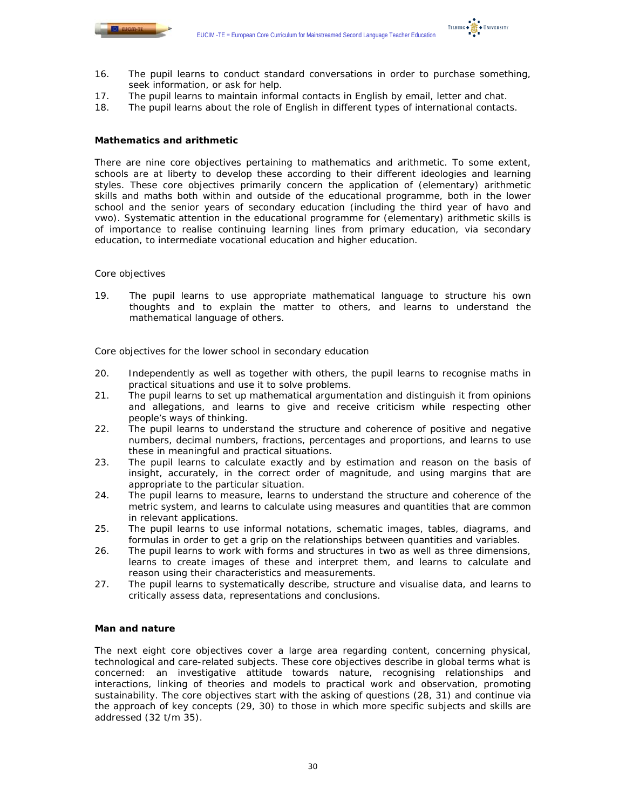

TILBURG . TE . UNIVERSITY

- 16. The pupil learns to conduct standard conversations in order to purchase something, seek information, or ask for help.
- 17. The pupil learns to maintain informal contacts in English by email, letter and chat.
- 18. The pupil learns about the role of English in different types of international contacts.

# **Mathematics and arithmetic**

There are nine core objectives pertaining to mathematics and arithmetic. To some extent, schools are at liberty to develop these according to their different ideologies and learning styles. These core objectives primarily concern the application of (elementary) arithmetic skills and maths both within and outside of the educational programme, both in the lower school and the senior years of secondary education (including the third year of havo and vwo). Systematic attention in the educational programme for (elementary) arithmetic skills is of importance to realise continuing learning lines from primary education, via secondary education, to intermediate vocational education and higher education.

## *Core objectives*

19. The pupil learns to use appropriate mathematical language to structure his own thoughts and to explain the matter to others, and learns to understand the mathematical language of others.

*Core objectives for the lower school in secondary education* 

- 20. Independently as well as together with others, the pupil learns to recognise maths in practical situations and use it to solve problems.
- 21. The pupil learns to set up mathematical argumentation and distinguish it from opinions and allegations, and learns to give and receive criticism while respecting other people's ways of thinking.
- 22. The pupil learns to understand the structure and coherence of positive and negative numbers, decimal numbers, fractions, percentages and proportions, and learns to use these in meaningful and practical situations.
- 23. The pupil learns to calculate exactly and by estimation and reason on the basis of insight, accurately, in the correct order of magnitude, and using margins that are appropriate to the particular situation.
- 24. The pupil learns to measure, learns to understand the structure and coherence of the metric system, and learns to calculate using measures and quantities that are common in relevant applications.
- 25. The pupil learns to use informal notations, schematic images, tables, diagrams, and formulas in order to get a grip on the relationships between quantities and variables.
- 26. The pupil learns to work with forms and structures in two as well as three dimensions, learns to create images of these and interpret them, and learns to calculate and reason using their characteristics and measurements.
- 27. The pupil learns to systematically describe, structure and visualise data, and learns to critically assess data, representations and conclusions.

# **Man and nature**

The next eight core objectives cover a large area regarding content, concerning physical, technological and care-related subjects. These core objectives describe in global terms what is concerned: an investigative attitude towards nature, recognising relationships and interactions, linking of theories and models to practical work and observation, promoting sustainability. The core objectives start with the asking of questions (28, 31) and continue via the approach of key concepts (29, 30) to those in which more specific subjects and skills are addressed (32 t/m 35).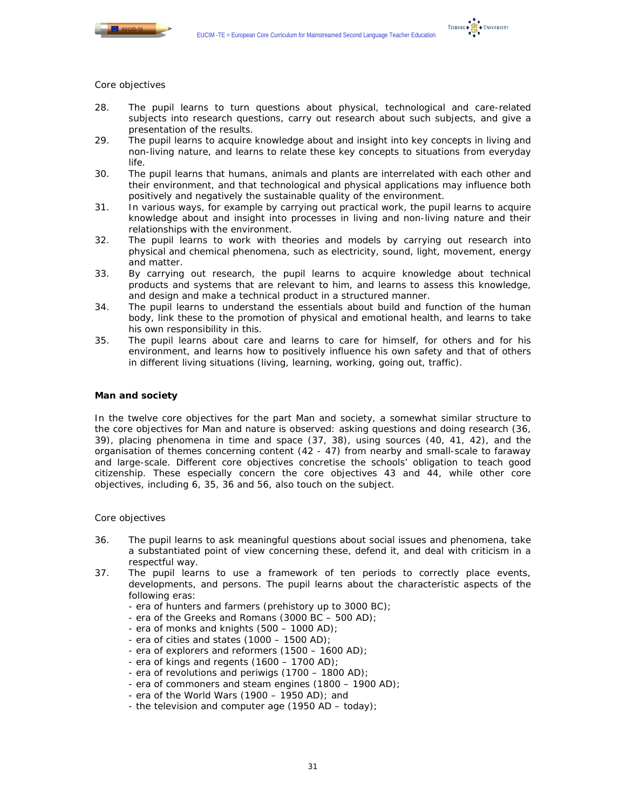



#### *Core objectives*

- 28. The pupil learns to turn questions about physical, technological and care-related subjects into research questions, carry out research about such subjects, and give a presentation of the results.
- 29. The pupil learns to acquire knowledge about and insight into key concepts in living and non-living nature, and learns to relate these key concepts to situations from everyday life.
- 30. The pupil learns that humans, animals and plants are interrelated with each other and their environment, and that technological and physical applications may influence both positively and negatively the sustainable quality of the environment.
- 31. In various ways, for example by carrying out practical work, the pupil learns to acquire knowledge about and insight into processes in living and non-living nature and their relationships with the environment.
- 32. The pupil learns to work with theories and models by carrying out research into physical and chemical phenomena, such as electricity, sound, light, movement, energy and matter.
- 33. By carrying out research, the pupil learns to acquire knowledge about technical products and systems that are relevant to him, and learns to assess this knowledge, and design and make a technical product in a structured manner.
- 34. The pupil learns to understand the essentials about build and function of the human body, link these to the promotion of physical and emotional health, and learns to take his own responsibility in this.
- 35. The pupil learns about care and learns to care for himself, for others and for his environment, and learns how to positively influence his own safety and that of others in different living situations (living, learning, working, going out, traffic).

#### **Man and society**

In the twelve core objectives for the part Man and society, a somewhat similar structure to the core objectives for Man and nature is observed: asking questions and doing research (36, 39), placing phenomena in time and space (37, 38), using sources (40, 41, 42), and the organisation of themes concerning content (42 - 47) from nearby and small-scale to faraway and large-scale. Different core objectives concretise the schools' obligation to teach good citizenship. These especially concern the core objectives 43 and 44, while other core objectives, including 6, 35, 36 and 56, also touch on the subject.

- 36. The pupil learns to ask meaningful questions about social issues and phenomena, take a substantiated point of view concerning these, defend it, and deal with criticism in a respectful way.
- 37. The pupil learns to use a framework of ten periods to correctly place events, developments, and persons. The pupil learns about the characteristic aspects of the following eras:
	- era of hunters and farmers (prehistory up to 3000 BC);
	- era of the Greeks and Romans (3000 BC 500 AD);
	- era of monks and knights (500 1000 AD);
	- era of cities and states (1000 1500 AD);
	- era of explorers and reformers (1500 1600 AD);
	- era of kings and regents (1600 1700 AD);
	- era of revolutions and periwigs (1700 1800 AD);
	- era of commoners and steam engines (1800 1900 AD);
	- era of the World Wars  $(1900 1950$  AD); and
	- the television and computer age  $(1950 AD today)$ ;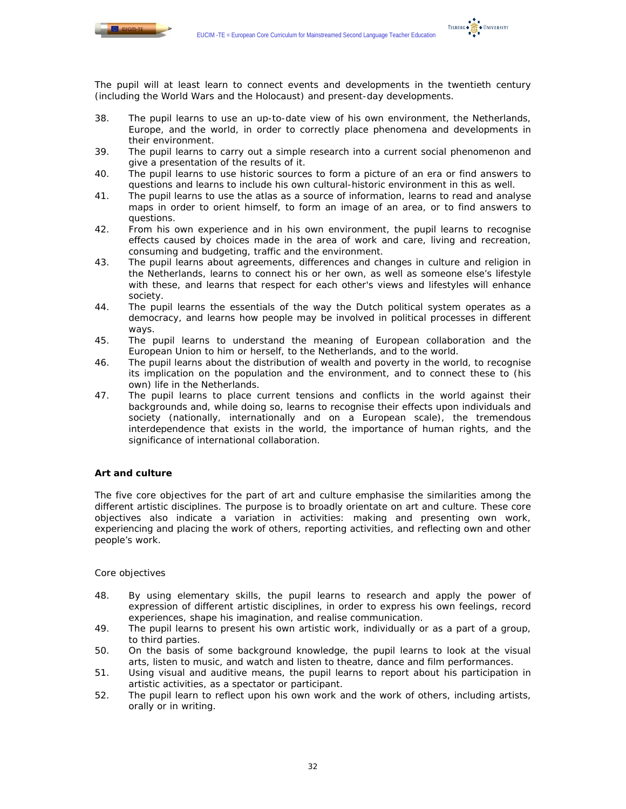

The pupil will at least learn to connect events and developments in the twentieth century (including the World Wars and the Holocaust) and present-day developments.

- 38. The pupil learns to use an up-to-date view of his own environment, the Netherlands, Europe, and the world, in order to correctly place phenomena and developments in their environment.
- 39. The pupil learns to carry out a simple research into a current social phenomenon and give a presentation of the results of it.
- 40. The pupil learns to use historic sources to form a picture of an era or find answers to questions and learns to include his own cultural-historic environment in this as well.
- 41. The pupil learns to use the atlas as a source of information, learns to read and analyse maps in order to orient himself, to form an image of an area, or to find answers to questions.
- 42. From his own experience and in his own environment, the pupil learns to recognise effects caused by choices made in the area of work and care, living and recreation, consuming and budgeting, traffic and the environment.
- 43. The pupil learns about agreements, differences and changes in culture and religion in the Netherlands, learns to connect his or her own, as well as someone else's lifestyle with these, and learns that respect for each other's views and lifestyles will enhance society.
- 44. The pupil learns the essentials of the way the Dutch political system operates as a democracy, and learns how people may be involved in political processes in different ways.
- 45. The pupil learns to understand the meaning of European collaboration and the European Union to him or herself, to the Netherlands, and to the world.
- 46. The pupil learns about the distribution of wealth and poverty in the world, to recognise its implication on the population and the environment, and to connect these to (his own) life in the Netherlands.
- 47. The pupil learns to place current tensions and conflicts in the world against their backgrounds and, while doing so, learns to recognise their effects upon individuals and society (nationally, internationally and on a European scale), the tremendous interdependence that exists in the world, the importance of human rights, and the significance of international collaboration.

# **Art and culture**

The five core objectives for the part of art and culture emphasise the similarities among the different artistic disciplines. The purpose is to broadly orientate on art and culture. These core objectives also indicate a variation in activities: making and presenting own work, experiencing and placing the work of others, reporting activities, and reflecting own and other people's work.

- 48. By using elementary skills, the pupil learns to research and apply the power of expression of different artistic disciplines, in order to express his own feelings, record experiences, shape his imagination, and realise communication.
- 49. The pupil learns to present his own artistic work, individually or as a part of a group, to third parties.
- 50. On the basis of some background knowledge, the pupil learns to look at the visual arts, listen to music, and watch and listen to theatre, dance and film performances.
- 51. Using visual and auditive means, the pupil learns to report about his participation in artistic activities, as a spectator or participant.
- 52. The pupil learn to reflect upon his own work and the work of others, including artists, orally or in writing.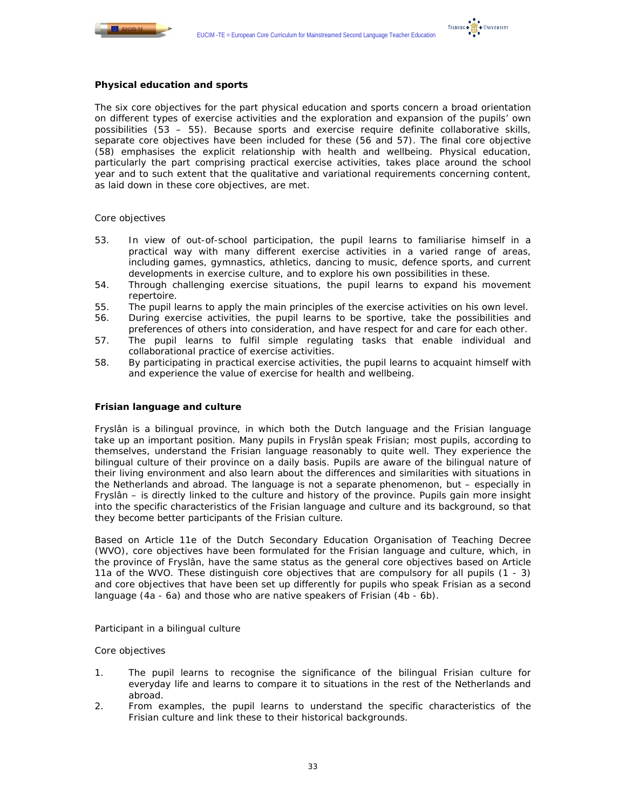

#### **Physical education and sports**

The six core objectives for the part physical education and sports concern a broad orientation on different types of exercise activities and the exploration and expansion of the pupils' own possibilities (53 – 55). Because sports and exercise require definite collaborative skills, separate core objectives have been included for these (56 and 57). The final core objective (58) emphasises the explicit relationship with health and wellbeing. Physical education, particularly the part comprising practical exercise activities, takes place around the school year and to such extent that the qualitative and variational requirements concerning content, as laid down in these core objectives, are met.

## *Core objectives*

- 53. In view of out-of-school participation, the pupil learns to familiarise himself in a practical way with many different exercise activities in a varied range of areas, including games, gymnastics, athletics, dancing to music, defence sports, and current developments in exercise culture, and to explore his own possibilities in these.
- 54. Through challenging exercise situations, the pupil learns to expand his movement repertoire.
- 55. The pupil learns to apply the main principles of the exercise activities on his own level.
- 56. During exercise activities, the pupil learns to be sportive, take the possibilities and preferences of others into consideration, and have respect for and care for each other.
- 57. The pupil learns to fulfil simple regulating tasks that enable individual and collaborational practice of exercise activities.
- 58. By participating in practical exercise activities, the pupil learns to acquaint himself with and experience the value of exercise for health and wellbeing.

# **Frisian language and culture**

Fryslân is a bilingual province, in which both the Dutch language and the Frisian language take up an important position. Many pupils in Fryslân speak Frisian; most pupils, according to themselves, understand the Frisian language reasonably to quite well. They experience the bilingual culture of their province on a daily basis. Pupils are aware of the bilingual nature of their living environment and also learn about the differences and similarities with situations in the Netherlands and abroad. The language is not a separate phenomenon, but – especially in Fryslân – is directly linked to the culture and history of the province. Pupils gain more insight into the specific characteristics of the Frisian language and culture and its background, so that they become better participants of the Frisian culture.

Based on Article 11e of the Dutch Secondary Education Organisation of Teaching Decree (WVO), core objectives have been formulated for the Frisian language and culture, which, in the province of Fryslân, have the same status as the general core objectives based on Article 11a of the WVO. These distinguish core objectives that are compulsory for all pupils (1 - 3) and core objectives that have been set up differently for pupils who speak Frisian as a second language (4a - 6a) and those who are native speakers of Frisian (4b - 6b).

# *Participant in a bilingual culture*

- 1. The pupil learns to recognise the significance of the bilingual Frisian culture for everyday life and learns to compare it to situations in the rest of the Netherlands and abroad.
- 2. From examples, the pupil learns to understand the specific characteristics of the Frisian culture and link these to their historical backgrounds.